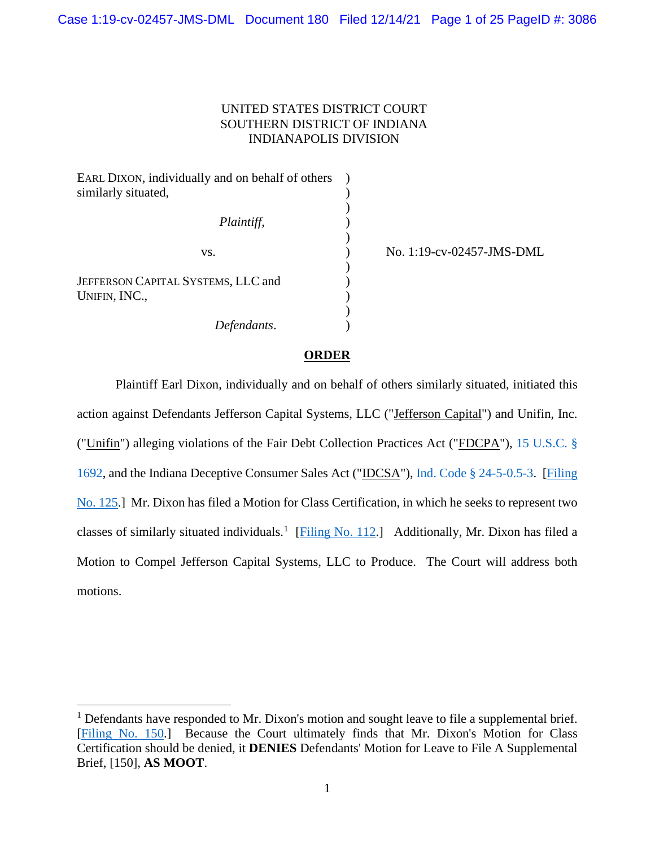# UNITED STATES DISTRICT COURT SOUTHERN DISTRICT OF INDIANA INDIANAPOLIS DIVISION

| EARL DIXON, individually and on behalf of others |  |
|--------------------------------------------------|--|
| similarly situated,                              |  |
|                                                  |  |
| Plaintiff,                                       |  |
|                                                  |  |
| VS.                                              |  |
|                                                  |  |
| JEFFERSON CAPITAL SYSTEMS, LLC and               |  |
| UNIFIN, INC.,                                    |  |
|                                                  |  |
| Defendants.                                      |  |

No. 1:19-cv-02457-JMS-DML

### **ORDER**

Plaintiff Earl Dixon, individually and on behalf of others similarly situated, initiated this action against Defendants Jefferson Capital Systems, LLC ("Jefferson Capital") and Unifin, Inc. ("Unifin") alleging violations of the Fair Debt Collection Practices Act ("FDCPA"), [15 U.S.C. §](https://www.westlaw.com/Document/NB6223E30AFF711D8803AE0632FEDDFBF/View/FullText.html?transitionType=Default&contextData=(sc.Default)&VR=3.0&RS=da3.0)  [1692,](https://www.westlaw.com/Document/NB6223E30AFF711D8803AE0632FEDDFBF/View/FullText.html?transitionType=Default&contextData=(sc.Default)&VR=3.0&RS=da3.0) and the Indiana Deceptive Consumer Sales Act ("IDCSA"), [Ind. Code § 24-5-0.5-3.](https://www.westlaw.com/Document/NE42308C1A93A11EA805DA9FF6FD729F2/View/FullText.html?transitionType=Default&contextData=(sc.Default)&VR=3.0&RS=da3.0) [\[Filing](https://ecf.insd.uscourts.gov/doc1/07318767129)  [No. 125.](https://ecf.insd.uscourts.gov/doc1/07318767129)] Mr. Dixon has filed a Motion for Class Certification, in which he seeks to represent two classes of similarly situated individuals.<sup>[1](#page-0-0)</sup> [\[Filing No. 112.](https://ecf.insd.uscourts.gov/doc1/07318706680)] Additionally, Mr. Dixon has filed a Motion to Compel Jefferson Capital Systems, LLC to Produce. The Court will address both motions.

<span id="page-0-0"></span> $<sup>1</sup>$  Defendants have responded to Mr. Dixon's motion and sought leave to file a supplemental brief.</sup> [\[Filing No. 150.](https://ecf.insd.uscourts.gov/doc1/07318851137)] Because the Court ultimately finds that Mr. Dixon's Motion for Class Certification should be denied, it **DENIES** Defendants' Motion for Leave to File A Supplemental Brief, [150], **AS MOOT**.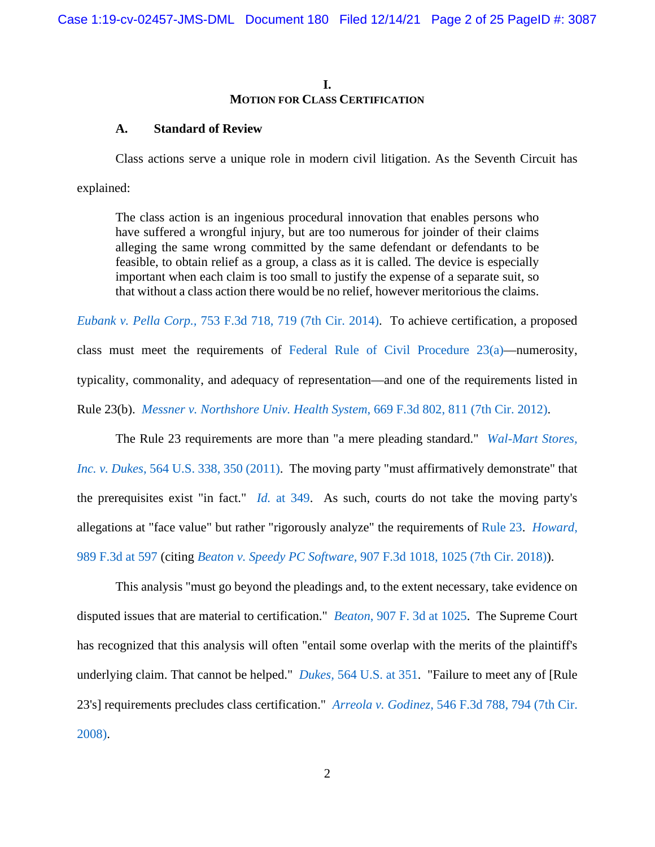# **I. MOTION FOR CLASS CERTIFICATION**

### **A. Standard of Review**

Class actions serve a unique role in modern civil litigation. As the Seventh Circuit has

explained:

The class action is an ingenious procedural innovation that enables persons who have suffered a wrongful injury, but are too numerous for joinder of their claims alleging the same wrong committed by the same defendant or defendants to be feasible, to obtain relief as a group, a class as it is called. The device is especially important when each claim is too small to justify the expense of a separate suit, so that without a class action there would be no relief, however meritorious the claims.

*Eubank v. Pella Corp.,* [753 F.3d 718, 719 \(7th Cir. 2014\).](https://www.westlaw.com/Document/Ib25bf6e0ea6e11e3b86bd602cb8781fa/View/FullText.html?transitionType=Default&contextData=(sc.Default)&VR=3.0&RS=da3.0&fragmentIdentifier=co_pp_sp_506_719) To achieve certification, a proposed class must meet the requirements of [Federal Rule of Civil Procedure 23\(a\)—](https://www.westlaw.com/Document/NC687F790B96311D8983DF34406B5929B/View/FullText.html?transitionType=Default&contextData=(sc.Default)&VR=3.0&RS=da3.0)numerosity, typicality, commonality, and adequacy of representation—and one of the requirements listed in Rule 23(b). *[Messner v. Northshore Univ. Health System](https://www.westlaw.com/Document/Ia081ff10420111e18da7c4363d0963b0/View/FullText.html?transitionType=Default&contextData=(sc.Default)&VR=3.0&RS=da3.0&fragmentIdentifier=co_pp_sp_506_811)*, 669 F.3d 802, 811 (7th Cir. 2012).

The Rule 23 requirements are more than "a mere pleading standard." *[Wal-Mart Stores,](https://www.westlaw.com/Document/I9e8a5192996011e0a8a2938374af9660/View/FullText.html?transitionType=Default&contextData=(sc.Default)&VR=3.0&RS=da3.0&fragmentIdentifier=co_pp_sp_780_350)  Inc. v. Dukes*, [564 U.S. 338, 350 \(2011\).](https://www.westlaw.com/Document/I9e8a5192996011e0a8a2938374af9660/View/FullText.html?transitionType=Default&contextData=(sc.Default)&VR=3.0&RS=da3.0&fragmentIdentifier=co_pp_sp_780_350) The moving party "must affirmatively demonstrate" that the prerequisites exist "in fact." *Id.* [at 349.](https://www.westlaw.com/Document/I9e8a5192996011e0a8a2938374af9660/View/FullText.html?transitionType=Default&contextData=(sc.Default)&VR=3.0&RS=da3.0&fragmentIdentifier=co_pp_sp_780_349) As such, courts do not take the moving party's allegations at "face value" but rather "rigorously analyze" the requirements of [Rule 23.](https://www.westlaw.com/Document/NC687F790B96311D8983DF34406B5929B/View/FullText.html?transitionType=Default&contextData=(sc.Default)&VR=3.0&RS=da3.0) *[Howard](https://www.westlaw.com/Document/I293c0c407d5711eb8c75eb3bff74da20/View/FullText.html?transitionType=Default&contextData=(sc.Default)&VR=3.0&RS=da3.0&fragmentIdentifier=co_pp_sp_506_597)*, [989 F.3d at 597](https://www.westlaw.com/Document/I293c0c407d5711eb8c75eb3bff74da20/View/FullText.html?transitionType=Default&contextData=(sc.Default)&VR=3.0&RS=da3.0&fragmentIdentifier=co_pp_sp_506_597) (citing *Beaton v. Speedy PC Software,* [907 F.3d 1018, 1025 \(7th Cir. 2018\)\)](https://www.westlaw.com/Document/Ifcef4fe0dd3411e8a174b18b713fc6d4/View/FullText.html?transitionType=Default&contextData=(sc.Default)&VR=3.0&RS=da3.0&fragmentIdentifier=co_pp_sp_506_1025).

This analysis "must go beyond the pleadings and, to the extent necessary, take evidence on disputed issues that are material to certification." *Beaton*[, 907 F. 3d at 1025.](https://www.westlaw.com/Document/Ifcef4fe0dd3411e8a174b18b713fc6d4/View/FullText.html?transitionType=Default&contextData=(sc.Default)&VR=3.0&RS=da3.0&fragmentIdentifier=co_pp_sp_506_1025) The Supreme Court has recognized that this analysis will often "entail some overlap with the merits of the plaintiff's underlying claim. That cannot be helped." *Dukes,* [564 U.S. at 351.](https://www.westlaw.com/Document/I9e8a5192996011e0a8a2938374af9660/View/FullText.html?transitionType=Default&contextData=(sc.Default)&VR=3.0&RS=da3.0&fragmentIdentifier=co_pp_sp_780_351) "Failure to meet any of [Rule 23's] requirements precludes class certification." *Arreola v. Godinez*[, 546 F.3d 788, 794 \(7th Cir.](https://www.westlaw.com/Document/If81c5e9399fc11dd9876f446780b7bdc/View/FullText.html?transitionType=Default&contextData=(sc.Default)&VR=3.0&RS=da3.0&fragmentIdentifier=co_pp_sp_506_794)  [2008\).](https://www.westlaw.com/Document/If81c5e9399fc11dd9876f446780b7bdc/View/FullText.html?transitionType=Default&contextData=(sc.Default)&VR=3.0&RS=da3.0&fragmentIdentifier=co_pp_sp_506_794)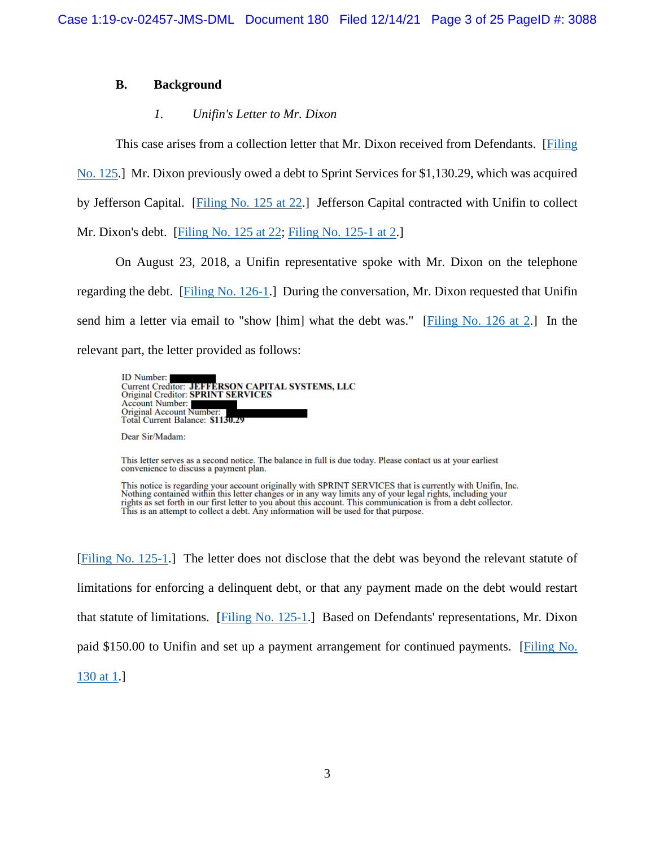## **B. Background**

# *1. Unifin's Letter to Mr. Dixon*

This case arises from a collection letter that Mr. Dixon received from Defendants. [\[Filing](https://ecf.insd.uscourts.gov/doc1/07318767129) 

[No. 125.](https://ecf.insd.uscourts.gov/doc1/07318767129)] Mr. Dixon previously owed a debt to Sprint Services for \$1,130.29, which was acquired

by Jefferson Capital. [\[Filing No. 125 at 22.](https://ecf.insd.uscourts.gov/doc1/07318767129?page=22)] Jefferson Capital contracted with Unifin to collect

Mr. Dixon's debt. [\[Filing No. 125 at 22;](https://ecf.insd.uscourts.gov/doc1/07318767129?page=22) [Filing No. 125-1 at 2.](https://ecf.insd.uscourts.gov/doc1/07318767130?page=2)]

On August 23, 2018, a Unifin representative spoke with Mr. Dixon on the telephone regarding the debt. [\[Filing No. 126-1.](https://ecf.insd.uscourts.gov/doc1/07318769930)] During the conversation, Mr. Dixon requested that Unifin send him a letter via email to "show [him] what the debt was." [\[Filing No. 126 at 2.](https://ecf.insd.uscourts.gov/doc1/07318769929?page=2)] In the relevant part, the letter provided as follows:



Dear Sir/Madam:

This letter serves as a second notice. The balance in full is due today. Please contact us at your earliest convenience to discuss a payment plan.

This notice is regarding your account originally with SPRINT SERVICES that is currently with Unifin, Inc. Nothing contained within this letter changes or in any way limits any of your legal rights, including your rights as set forth in our first letter to you about this account. This communication is from a debt collector. This is an attempt to collect a debt. Any information will be used for that purpose.

[\[Filing No. 125-1.](https://ecf.insd.uscourts.gov/doc1/07318767130)] The letter does not disclose that the debt was beyond the relevant statute of limitations for enforcing a delinquent debt, or that any payment made on the debt would restart that statute of limitations. [\[Filing No. 125-1.](https://ecf.insd.uscourts.gov/doc1/07318767130)] Based on Defendants' representations, Mr. Dixon paid \$150.00 to Unifin and set up a payment arrangement for continued payments. [\[Filing No.](https://ecf.insd.uscourts.gov/doc1/07318780704?page=1)  [130 at 1.](https://ecf.insd.uscourts.gov/doc1/07318780704?page=1)]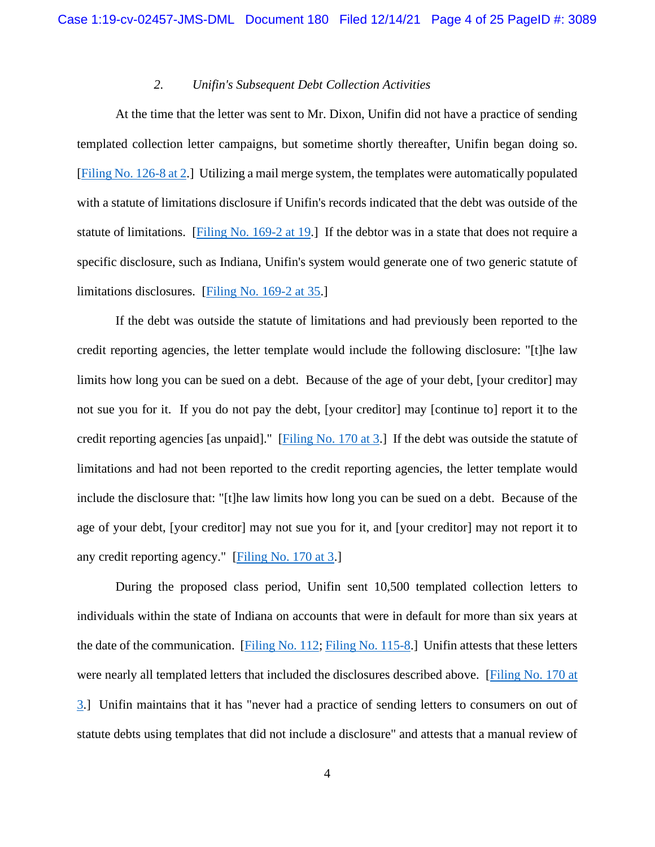### *2. Unifin's Subsequent Debt Collection Activities*

At the time that the letter was sent to Mr. Dixon, Unifin did not have a practice of sending templated collection letter campaigns, but sometime shortly thereafter, Unifin began doing so. [\[Filing No. 126-8 at 2.](https://ecf.insd.uscourts.gov/doc1/07318769937?page=2)] Utilizing a mail merge system, the templates were automatically populated with a statute of limitations disclosure if Unifin's records indicated that the debt was outside of the statute of limitations. [\[Filing No. 169-2 at 19.](https://ecf.insd.uscourts.gov/doc1/07318959885?page=19)] If the debtor was in a state that does not require a specific disclosure, such as Indiana, Unifin's system would generate one of two generic statute of limitations disclosures. [\[Filing No. 169-2 at 35.](https://ecf.insd.uscourts.gov/doc1/07318959885?page=35)]

If the debt was outside the statute of limitations and had previously been reported to the credit reporting agencies, the letter template would include the following disclosure: "[t]he law limits how long you can be sued on a debt. Because of the age of your debt, [your creditor] may not sue you for it. If you do not pay the debt, [your creditor] may [continue to] report it to the credit reporting agencies [as unpaid]." [\[Filing No. 170 at 3.](https://ecf.insd.uscourts.gov/doc1/07318959916?page=3)] If the debt was outside the statute of limitations and had not been reported to the credit reporting agencies, the letter template would include the disclosure that: "[t]he law limits how long you can be sued on a debt. Because of the age of your debt, [your creditor] may not sue you for it, and [your creditor] may not report it to any credit reporting agency." [\[Filing No. 170 at 3.](https://ecf.insd.uscourts.gov/doc1/07318959916?page=3)]

During the proposed class period, Unifin sent 10,500 templated collection letters to individuals within the state of Indiana on accounts that were in default for more than six years at the date of the communication. [\[Filing No. 112;](https://ecf.insd.uscourts.gov/doc1/07318706680) [Filing No. 115-8.](https://ecf.insd.uscourts.gov/doc1/07318706705)] Unifin attests that these letters were nearly all templated letters that included the disclosures described above. [\[Filing No. 170 at](https://ecf.insd.uscourts.gov/doc1/07318959916?page=3)  [3.](https://ecf.insd.uscourts.gov/doc1/07318959916?page=3)] Unifin maintains that it has "never had a practice of sending letters to consumers on out of statute debts using templates that did not include a disclosure" and attests that a manual review of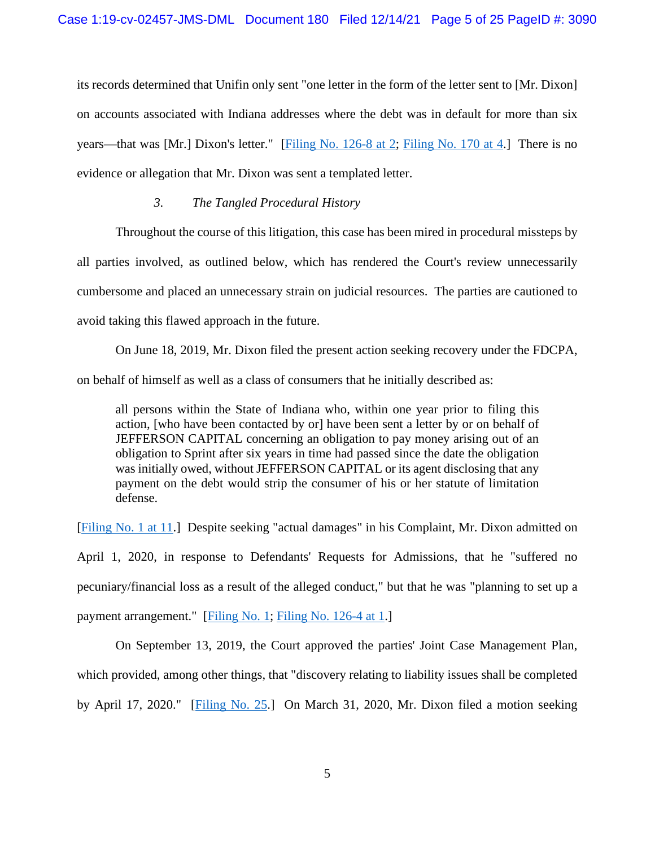its records determined that Unifin only sent "one letter in the form of the letter sent to [Mr. Dixon] on accounts associated with Indiana addresses where the debt was in default for more than six years—that was [Mr.] Dixon's letter." [\[Filing No. 126-8 at 2;](https://ecf.insd.uscourts.gov/doc1/07318769937?page=2) [Filing No. 170 at 4.](https://ecf.insd.uscourts.gov/doc1/07318959916?page=4)] There is no evidence or allegation that Mr. Dixon was sent a templated letter.

## *3. The Tangled Procedural History*

Throughout the course of this litigation, this case has been mired in procedural missteps by all parties involved, as outlined below, which has rendered the Court's review unnecessarily cumbersome and placed an unnecessary strain on judicial resources. The parties are cautioned to avoid taking this flawed approach in the future.

On June 18, 2019, Mr. Dixon filed the present action seeking recovery under the FDCPA, on behalf of himself as well as a class of consumers that he initially described as:

all persons within the State of Indiana who, within one year prior to filing this action, [who have been contacted by or] have been sent a letter by or on behalf of JEFFERSON CAPITAL concerning an obligation to pay money arising out of an obligation to Sprint after six years in time had passed since the date the obligation was initially owed, without JEFFERSON CAPITAL or its agent disclosing that any payment on the debt would strip the consumer of his or her statute of limitation defense.

[\[Filing No. 1 at 11.](https://ecf.insd.uscourts.gov/doc1/07317322906?page=11)] Despite seeking "actual damages" in his Complaint, Mr. Dixon admitted on

April 1, 2020, in response to Defendants' Requests for Admissions, that he "suffered no pecuniary/financial loss as a result of the alleged conduct," but that he was "planning to set up a payment arrangement." [\[Filing No. 1;](https://ecf.insd.uscourts.gov/doc1/07317322906) [Filing No. 126-4 at 1.](https://ecf.insd.uscourts.gov/doc1/07318769933?page=1)]

On September 13, 2019, the Court approved the parties' Joint Case Management Plan, which provided, among other things, that "discovery relating to liability issues shall be completed by April 17, 2020." [\[Filing No. 25.](https://ecf.insd.uscourts.gov/doc1/07317499745)] On March 31, 2020, Mr. Dixon filed a motion seeking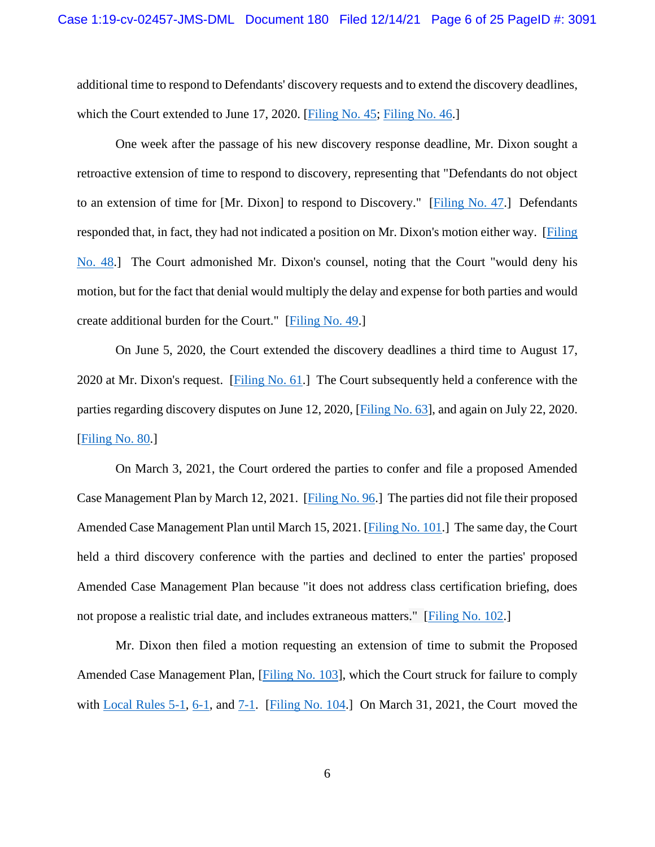additional time to respond to Defendants' discovery requests and to extend the discovery deadlines, which the Court extended to June 17, 2020. [\[Filing No. 45;](https://insd-ecf.sso.dcn/doc1/07317877829) [Filing No. 46.](https://ecf.insd.uscourts.gov/doc1/07317883009)]

One week after the passage of his new discovery response deadline, Mr. Dixon sought a retroactive extension of time to respond to discovery, representing that "Defendants do not object to an extension of time for [Mr. Dixon] to respond to Discovery." [\[Filing No. 47.](https://ecf.insd.uscourts.gov/doc1/07317949872)] Defendants responded that, in fact, they had not indicated a position on Mr. Dixon's motion either way. [\[Filing](https://ecf.insd.uscourts.gov/doc1/07317950292)  [No. 48.](https://ecf.insd.uscourts.gov/doc1/07317950292)] The Court admonished Mr. Dixon's counsel, noting that the Court "would deny his motion, but for the fact that denial would multiply the delay and expense for both parties and would create additional burden for the Court." [\[Filing No. 49.](https://ecf.insd.uscourts.gov/doc1/07317951819)]

On June 5, 2020, the Court extended the discovery deadlines a third time to August 17, 2020 at Mr. Dixon's request. [\[Filing No. 61.](https://ecf.insd.uscourts.gov/doc1/07317988430)] The Court subsequently held a conference with the parties regarding discovery disputes on June 12, 2020, [\[Filing No. 63\]](https://insd-ecf.sso.dcn/doc1/07317996519?caseid=95820&de_seq_num=188&magic_num=MAGIC), and again on July 22, 2020. [\[Filing No. 80.](https://ecf.insd.uscourts.gov/doc1/07318202936)]

On March 3, 2021, the Court ordered the parties to confer and file a proposed Amended Case Management Plan by March 12, 2021. [\[Filing No. 96.](https://ecf.insd.uscourts.gov/doc1/07318497436)] The parties did not file their proposed Amended Case Management Plan until March 15, 2021. [\[Filing No. 101.](https://ecf.insd.uscourts.gov/doc1/07318519700)] The same day, the Court held a third discovery conference with the parties and declined to enter the parties' proposed Amended Case Management Plan because "it does not address class certification briefing, does not propose a realistic trial date, and includes extraneous matters." [\[Filing No. 102.](https://ecf.insd.uscourts.gov/doc1/07318522591)]

Mr. Dixon then filed a motion requesting an extension of time to submit the Proposed Amended Case Management Plan, [\[Filing No.](https://insd-ecf.sso.dcn/doc1/07318536266) 103], which the Court struck for failure to comply with [Local Rules 5-1,](https://www.insd.uscourts.gov/sites/insd/files/local_rules/Local%20Rule%205-1%20-%20Format%20of%20Documents%20Presented%20for%20Filing_1.pdf) [6-1,](https://www.insd.uscourts.gov/sites/insd/files/local_rules/Local%20Rule%206-1%20-%20Extensions%20of%20Time_1.pdf) and [7-1.](https://www.insd.uscourts.gov/sites/insd/files/local_rules/Local%20Rule%207-1%20-%20Motion%20Practice_1.pdf) [\[Filing No. 104.](https://ecf.insd.uscourts.gov/doc1/07318539520)] On March 31, 2021, the Court moved the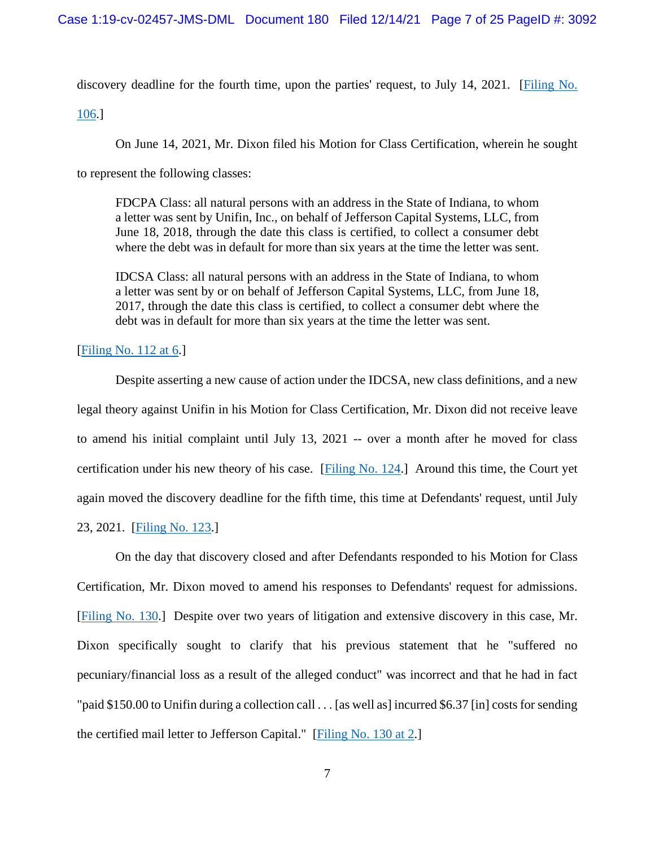discovery deadline for the fourth time, upon the parties' request, to July 14, 2021. [\[Filing No.](https://ecf.insd.uscourts.gov/doc1/07318559478) 

[106.](https://ecf.insd.uscourts.gov/doc1/07318559478)]

On June 14, 2021, Mr. Dixon filed his Motion for Class Certification, wherein he sought

to represent the following classes:

FDCPA Class: all natural persons with an address in the State of Indiana, to whom a letter was sent by Unifin, Inc., on behalf of Jefferson Capital Systems, LLC, from June 18, 2018, through the date this class is certified, to collect a consumer debt where the debt was in default for more than six years at the time the letter was sent.

IDCSA Class: all natural persons with an address in the State of Indiana, to whom a letter was sent by or on behalf of Jefferson Capital Systems, LLC, from June 18, 2017, through the date this class is certified, to collect a consumer debt where the debt was in default for more than six years at the time the letter was sent.

[\[Filing No. 112 at 6.](https://ecf.insd.uscourts.gov/doc1/07318706680?page=6)]

Despite asserting a new cause of action under the IDCSA, new class definitions, and a new legal theory against Unifin in his Motion for Class Certification, Mr. Dixon did not receive leave to amend his initial complaint until July 13, 2021 -- over a month after he moved for class certification under his new theory of his case. [\[Filing No. 124.](https://ecf.insd.uscourts.gov/doc1/07318757188)] Around this time, the Court yet again moved the discovery deadline for the fifth time, this time at Defendants' request, until July

23, 2021. [\[Filing No. 123.](https://ecf.insd.uscourts.gov/doc1/07318753140)]

On the day that discovery closed and after Defendants responded to his Motion for Class Certification, Mr. Dixon moved to amend his responses to Defendants' request for admissions. [\[Filing No. 130.](https://ecf.insd.uscourts.gov/doc1/07318780704)] Despite over two years of litigation and extensive discovery in this case, Mr. Dixon specifically sought to clarify that his previous statement that he "suffered no pecuniary/financial loss as a result of the alleged conduct" was incorrect and that he had in fact "paid \$150.00 to Unifin during a collection call . . . [as well as] incurred \$6.37 [in] costs for sending the certified mail letter to Jefferson Capital." [\[Filing No. 130 at 2.](https://ecf.insd.uscourts.gov/doc1/07318780704?page=2)]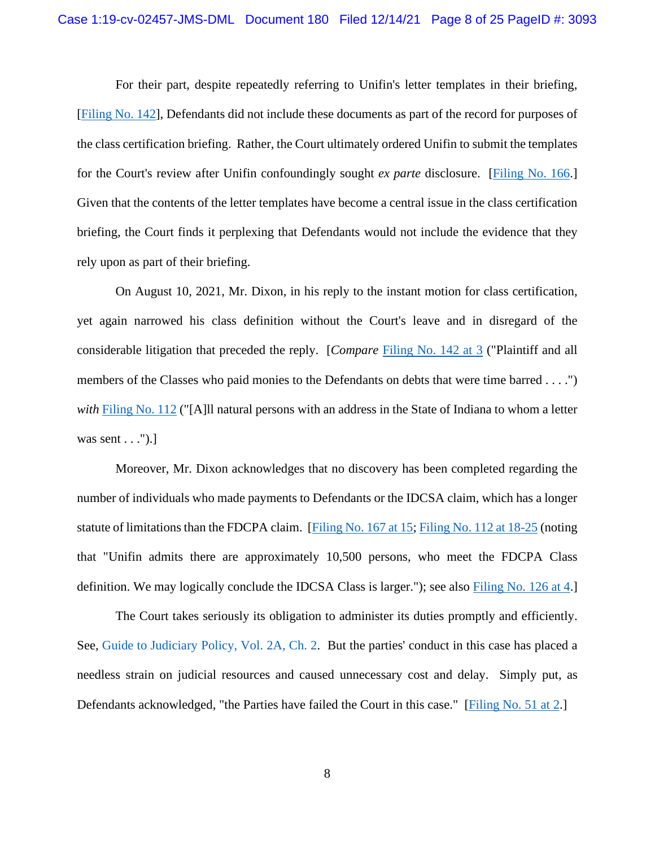For their part, despite repeatedly referring to Unifin's letter templates in their briefing, [\[Filing No.](https://ecf.insd.uscourts.gov/doc1/07318806521) 142], Defendants did not include these documents as part of the record for purposes of the class certification briefing. Rather, the Court ultimately ordered Unifin to submit the templates for the Court's review after Unifin confoundingly sought *ex parte* disclosure. [\[Filing No. 166.](https://ecf.insd.uscourts.gov/doc1/07318950342)] Given that the contents of the letter templates have become a central issue in the class certification briefing, the Court finds it perplexing that Defendants would not include the evidence that they rely upon as part of their briefing.

On August 10, 2021, Mr. Dixon, in his reply to the instant motion for class certification, yet again narrowed his class definition without the Court's leave and in disregard of the considerable litigation that preceded the reply. [*Compare* [Filing No. 142 at 3](https://ecf.insd.uscourts.gov/doc1/07318806521?page=3) ("Plaintiff and all members of the Classes who paid monies to the Defendants on debts that were time barred . . . .") *with* [Filing No. 112](https://ecf.insd.uscourts.gov/doc1/07318706680) ("[A]ll natural persons with an address in the State of Indiana to whom a letter was sent  $\dots$ ").]

Moreover, Mr. Dixon acknowledges that no discovery has been completed regarding the number of individuals who made payments to Defendants or the IDCSA claim, which has a longer statute of limitations than the FDCPA claim. [\[Filing No. 167 at 15;](https://ecf.insd.uscourts.gov/doc1/07318953419?page=15) [Filing No. 112 at 18-25](https://ecf.insd.uscourts.gov/doc1/07318706680?page=18) (noting that "Unifin admits there are approximately 10,500 persons, who meet the FDCPA Class definition. We may logically conclude the IDCSA Class is larger."); see also [Filing No. 126 at 4.](https://ecf.insd.uscourts.gov/doc1/07318769929?page=4)]

The Court takes seriously its obligation to administer its duties promptly and efficiently. See, [Guide to Judiciary Policy, Vol. 2A, Ch. 2.](https://www.uscourts.gov/sites/default/files/vol02a-ch02_0.pdf) But the parties' conduct in this case has placed a needless strain on judicial resources and caused unnecessary cost and delay. Simply put, as Defendants acknowledged, "the Parties have failed the Court in this case." [\[Filing No. 51 at 2.](https://ecf.insd.uscourts.gov/doc1/07317958184?page=2)]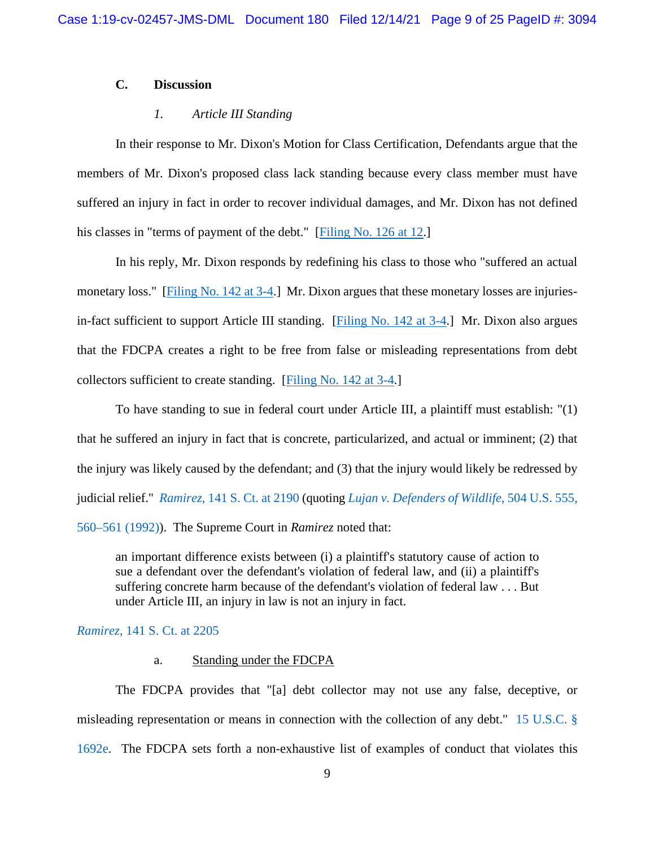# **C. Discussion**

## *1. Article III Standing*

In their response to Mr. Dixon's Motion for Class Certification, Defendants argue that the members of Mr. Dixon's proposed class lack standing because every class member must have suffered an injury in fact in order to recover individual damages, and Mr. Dixon has not defined his classes in "terms of payment of the debt." [\[Filing No. 126 at 12.](https://ecf.insd.uscourts.gov/doc1/07318769929?page=12)]

In his reply, Mr. Dixon responds by redefining his class to those who "suffered an actual monetary loss." [\[Filing No. 142 at 3-4.](https://ecf.insd.uscourts.gov/doc1/07318806521?page=3)] Mr. Dixon argues that these monetary losses are injuriesin-fact sufficient to support Article III standing. [\[Filing No. 142 at 3-4.](https://ecf.insd.uscourts.gov/doc1/07318806521?page=3)] Mr. Dixon also argues that the FDCPA creates a right to be free from false or misleading representations from debt collectors sufficient to create standing. [\[Filing No. 142 at 3-4.](https://ecf.insd.uscourts.gov/doc1/07318806521?page=3)]

To have standing to sue in federal court under Article III, a plaintiff must establish: "(1) that he suffered an injury in fact that is concrete, particularized, and actual or imminent; (2) that the injury was likely caused by the defendant; and (3) that the injury would likely be redressed by judicial relief." *Ramirez*[, 141 S. Ct. at 2190](https://www.westlaw.com/Document/I8f17c3c7d55411eb850ac132f535d1eb/View/FullText.html?transitionType=Default&contextData=(sc.Default)&VR=3.0&RS=da3.0&fragmentIdentifier=co_pp_sp_708_2190) (quoting *[Lujan v. Defenders of Wildlife](https://www.westlaw.com/Document/I72e88d139c9a11d991d0cc6b54f12d4d/View/FullText.html?transitionType=Default&contextData=(sc.Default)&VR=3.0&RS=da3.0&fragmentIdentifier=co_pp_sp_780_560)*, 504 U.S. 555, [560–561 \(1992\)\)](https://www.westlaw.com/Document/I72e88d139c9a11d991d0cc6b54f12d4d/View/FullText.html?transitionType=Default&contextData=(sc.Default)&VR=3.0&RS=da3.0&fragmentIdentifier=co_pp_sp_780_560). The Supreme Court in *Ramirez* noted that:

an important difference exists between (i) a plaintiff's statutory cause of action to sue a defendant over the defendant's violation of federal law, and (ii) a plaintiff's suffering concrete harm because of the defendant's violation of federal law . . . But under Article III, an injury in law is not an injury in fact.

# *Ramirez*[, 141 S. Ct. at 2205](https://www.westlaw.com/Document/I8f17c3c7d55411eb850ac132f535d1eb/View/FullText.html?transitionType=Default&contextData=(sc.Default)&VR=3.0&RS=da3.0&fragmentIdentifier=co_pp_sp_708_2205)

### a. Standing under the FDCPA

The FDCPA provides that "[a] debt collector may not use any false, deceptive, or misleading representation or means in connection with the collection of any debt." [15 U.S.C. §](https://www.westlaw.com/Document/NB7DBFC20AFF711D8803AE0632FEDDFBF/View/FullText.html?transitionType=Default&contextData=(sc.Default)&VR=3.0&RS=da3.0)  [1692e.](https://www.westlaw.com/Document/NB7DBFC20AFF711D8803AE0632FEDDFBF/View/FullText.html?transitionType=Default&contextData=(sc.Default)&VR=3.0&RS=da3.0) The FDCPA sets forth a non-exhaustive list of examples of conduct that violates this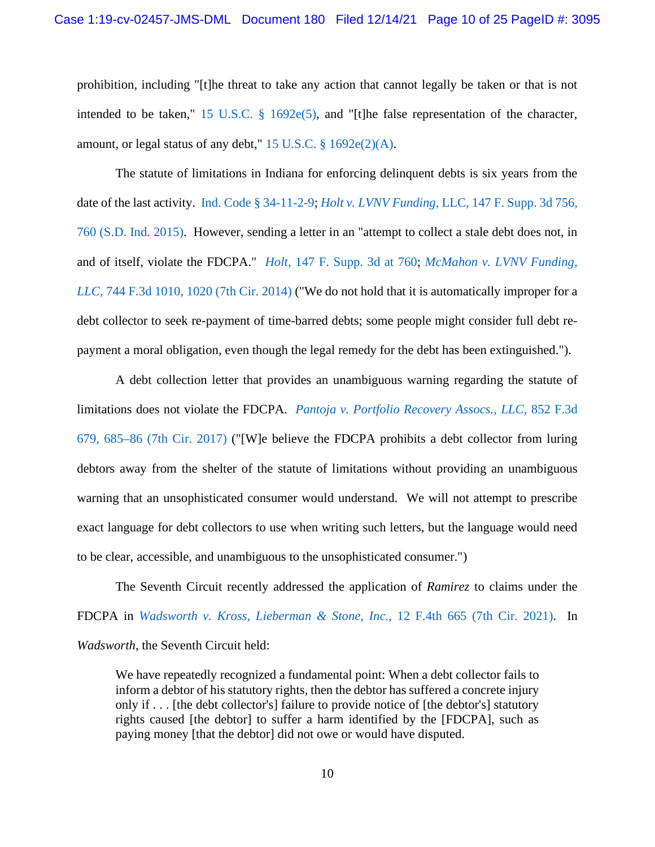prohibition, including "[t]he threat to take any action that cannot legally be taken or that is not intended to be taken," [15 U.S.C. § 1692e\(5\),](https://www.westlaw.com/Document/NB7DBFC20AFF711D8803AE0632FEDDFBF/View/FullText.html?transitionType=Default&contextData=(sc.Default)&VR=3.0&RS=da3.0) and "[t]he false representation of the character, amount, or legal status of any debt,"  $15$  U.S.C.  $\S$  1692e(2)(A).

The statute of limitations in Indiana for enforcing delinquent debts is six years from the date of the last activity. [Ind. Code § 34-11-2-9;](https://www.westlaw.com/Document/N74BBE080AC6B11EB9B1A966AA864A514/View/FullText.html?transitionType=Default&contextData=(sc.Default)&VR=3.0&RS=da3.0) *Holt v. LVNV Funding,* [LLC, 147 F. Supp. 3d 756,](https://www.westlaw.com/Document/I6bb33ec0982111e59a139b8f80c70067/View/FullText.html?transitionType=Default&contextData=(sc.Default)&VR=3.0&RS=da3.0&fragmentIdentifier=co_pp_sp_7903_760)  [760 \(S.D. Ind. 2015\).](https://www.westlaw.com/Document/I6bb33ec0982111e59a139b8f80c70067/View/FullText.html?transitionType=Default&contextData=(sc.Default)&VR=3.0&RS=da3.0&fragmentIdentifier=co_pp_sp_7903_760) However, sending a letter in an "attempt to collect a stale debt does not, in and of itself, violate the FDCPA." *Holt*[, 147 F. Supp. 3d at 760;](https://www.westlaw.com/Document/I6bb33ec0982111e59a139b8f80c70067/View/FullText.html?transitionType=Default&contextData=(sc.Default)&VR=3.0&RS=da3.0&fragmentIdentifier=co_pp_sp_7903_760) *[McMahon v. LVNV Funding,](https://www.westlaw.com/Document/I1f99f52ca95311e3a341ea44e5e1f25f/View/FullText.html?transitionType=Default&contextData=(sc.Default)&VR=3.0&RS=da3.0&fragmentIdentifier=co_pp_sp_506_1020)  LLC*[, 744 F.3d 1010, 1020 \(7th Cir. 2014\)](https://www.westlaw.com/Document/I1f99f52ca95311e3a341ea44e5e1f25f/View/FullText.html?transitionType=Default&contextData=(sc.Default)&VR=3.0&RS=da3.0&fragmentIdentifier=co_pp_sp_506_1020) ("We do not hold that it is automatically improper for a debt collector to seek re-payment of time-barred debts; some people might consider full debt repayment a moral obligation, even though the legal remedy for the debt has been extinguished.").

A debt collection letter that provides an unambiguous warning regarding the statute of limitations does not violate the FDCPA. *Pantoja v. Portfolio [Recovery Assocs., LLC](https://www.westlaw.com/Document/Id231c48014e611e7815ea6969ee18a03/View/FullText.html?transitionType=Default&contextData=(sc.Default)&VR=3.0&RS=da3.0&fragmentIdentifier=co_pp_sp_506_685)*, 852 F.3d [679, 685–86 \(7th Cir. 2017\)](https://www.westlaw.com/Document/Id231c48014e611e7815ea6969ee18a03/View/FullText.html?transitionType=Default&contextData=(sc.Default)&VR=3.0&RS=da3.0&fragmentIdentifier=co_pp_sp_506_685) ("[W]e believe the FDCPA prohibits a debt collector from luring debtors away from the shelter of the statute of limitations without providing an unambiguous warning that an unsophisticated consumer would understand. We will not attempt to prescribe exact language for debt collectors to use when writing such letters, but the language would need to be clear, accessible, and unambiguous to the unsophisticated consumer.")

The Seventh Circuit recently addressed the application of *Ramirez* to claims under the FDCPA in *[Wadsworth v. Kross, Lieberman & Stone, Inc.,](https://www.westlaw.com/Document/Iddaaaa300a9f11ec81429451ea631beb/View/FullText.html?transitionType=Default&contextData=(sc.Default)&VR=3.0&RS=da3.0)* 12 F.4th 665 (7th Cir. 2021). In *Wadsworth*, the Seventh Circuit held:

We have repeatedly recognized a fundamental point: When a debt collector fails to inform a debtor of his statutory rights, then the debtor has suffered a concrete injury only if . . . [the debt collector's] failure to provide notice of [the debtor's] statutory rights caused [the debtor] to suffer a harm identified by the [FDCPA], such as paying money [that the debtor] did not owe or would have disputed.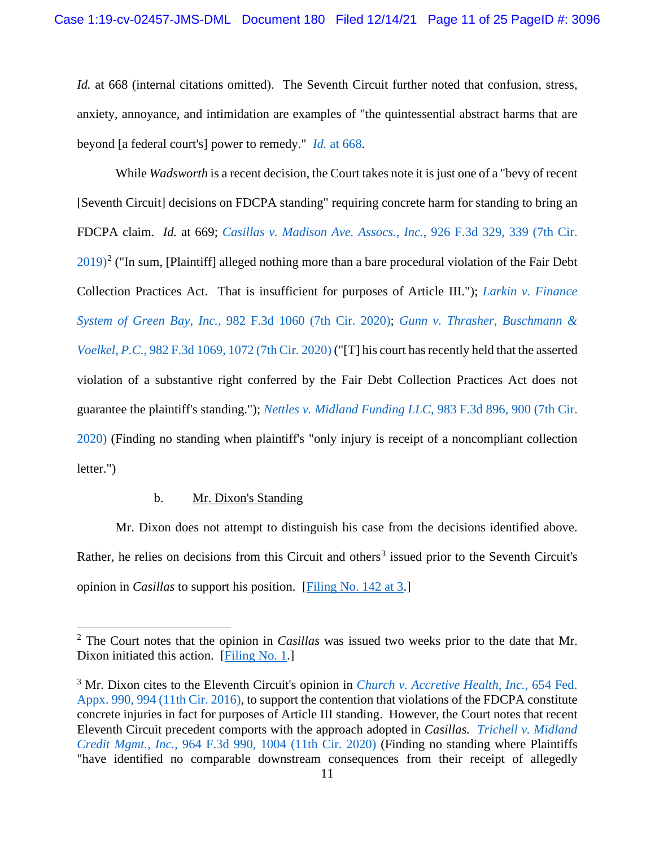*Id.* at 668 (internal citations omitted). The Seventh Circuit further noted that confusion, stress, anxiety, annoyance, and intimidation are examples of "the quintessential abstract harms that are beyond [a federal court's] power to remedy." *Id.* [at 668.](https://www.westlaw.com/Document/Iddaaaa300a9f11ec81429451ea631beb/View/FullText.html?transitionType=Default&contextData=(sc.Default)&VR=3.0&RS=da3.0&fragmentIdentifier=co_pp_sp_8173_668)

While *Wadsworth* is a recent decision, the Court takes note it is just one of a "bevy of recent [Seventh Circuit] decisions on FDCPA standing" requiring concrete harm for standing to bring an FDCPA claim. *Id.* at 669; *[Casillas v. Madison Ave. Assocs., Inc.](https://www.westlaw.com/Document/I34c4c040872511e981b9f3f7c11376fd/View/FullText.html?transitionType=Default&contextData=(sc.Default)&VR=3.0&RS=da3.0&fragmentIdentifier=co_pp_sp_506_339)*, 926 F.3d 329, 339 (7th Cir.  $2019$  $2019$ <sup>2</sup> ("In sum, [Plaintiff] alleged nothing more than a bare procedural violation of the Fair Debt Collection Practices Act. That is insufficient for purposes of Article III."); *[Larkin v. Finance](https://www.westlaw.com/Document/I54ce82803e5e11ebbe20d81a53907f9d/View/FullText.html?transitionType=Default&contextData=(sc.Default)&VR=3.0&RS=da3.0)  System of Green Bay, Inc.,* [982 F.3d 1060 \(7th Cir. 2020\);](https://www.westlaw.com/Document/I54ce82803e5e11ebbe20d81a53907f9d/View/FullText.html?transitionType=Default&contextData=(sc.Default)&VR=3.0&RS=da3.0) *[Gunn v. Thrasher, Buschmann &](https://www.westlaw.com/Document/Id7f24fd03f2a11ebbe20d81a53907f9d/View/FullText.html?transitionType=Default&contextData=(sc.Default)&VR=3.0&RS=da3.0&fragmentIdentifier=co_pp_sp_506_1072)  Voelkel, P.C.*[, 982 F.3d 1069, 1072 \(7th Cir. 2020\)](https://www.westlaw.com/Document/Id7f24fd03f2a11ebbe20d81a53907f9d/View/FullText.html?transitionType=Default&contextData=(sc.Default)&VR=3.0&RS=da3.0&fragmentIdentifier=co_pp_sp_506_1072) ("[T] his court has recently held that the asserted violation of a substantive right conferred by the Fair Debt Collection Practices Act does not guarantee the plaintiff's standing."); *[Nettles v. Midland Funding LLC](https://www.westlaw.com/Document/I565da46043f811eba075d817282e94c2/View/FullText.html?transitionType=Default&contextData=(sc.Default)&VR=3.0&RS=da3.0&fragmentIdentifier=co_pp_sp_506_900)*, 983 F.3d 896, 900 (7th Cir. [2020\)](https://www.westlaw.com/Document/I565da46043f811eba075d817282e94c2/View/FullText.html?transitionType=Default&contextData=(sc.Default)&VR=3.0&RS=da3.0&fragmentIdentifier=co_pp_sp_506_900) (Finding no standing when plaintiff's "only injury is receipt of a noncompliant collection letter.")

## b. Mr. Dixon's Standing

Mr. Dixon does not attempt to distinguish his case from the decisions identified above. Rather, he relies on decisions from this Circuit and others<sup>[3](#page-10-1)</sup> issued prior to the Seventh Circuit's opinion in *Casillas* to support his position.[\[Filing No. 142 at 3.](https://ecf.insd.uscourts.gov/doc1/07318806521?page=3)]

<span id="page-10-0"></span><sup>2</sup> The Court notes that the opinion in *Casillas* was issued two weeks prior to the date that Mr. Dixon initiated this action. [\[Filing No. 1.](https://ecf.insd.uscourts.gov/doc1/07317322906)]

<span id="page-10-1"></span><sup>3</sup> Mr. Dixon cites to the Eleventh Circuit's opinion in *[Church v. Accretive Health, Inc.,](https://www.westlaw.com/Document/I545df0f043f511e687dda03c2315206d/View/FullText.html?transitionType=Default&contextData=(sc.Default)&VR=3.0&RS=da3.0&fragmentIdentifier=co_pp_sp_6538_994)* 654 Fed. [Appx. 990, 994 \(11th Cir. 2016\),](https://www.westlaw.com/Document/I545df0f043f511e687dda03c2315206d/View/FullText.html?transitionType=Default&contextData=(sc.Default)&VR=3.0&RS=da3.0&fragmentIdentifier=co_pp_sp_6538_994) to support the contention that violations of the FDCPA constitute concrete injuries in fact for purposes of Article III standing. However, the Court notes that recent Eleventh Circuit precedent comports with the approach adopted in *Casillas. [Trichell v. Midland](https://www.westlaw.com/Document/Idf791700bfa711ea93a0cf5da1431849/View/FullText.html?transitionType=Default&contextData=(sc.Default)&VR=3.0&RS=da3.0&fragmentIdentifier=co_pp_sp_506_1004)  Credit Mgmt., Inc.*[, 964 F.3d 990, 1004 \(11th Cir. 2020\)](https://www.westlaw.com/Document/Idf791700bfa711ea93a0cf5da1431849/View/FullText.html?transitionType=Default&contextData=(sc.Default)&VR=3.0&RS=da3.0&fragmentIdentifier=co_pp_sp_506_1004) (Finding no standing where Plaintiffs "have identified no comparable downstream consequences from their receipt of allegedly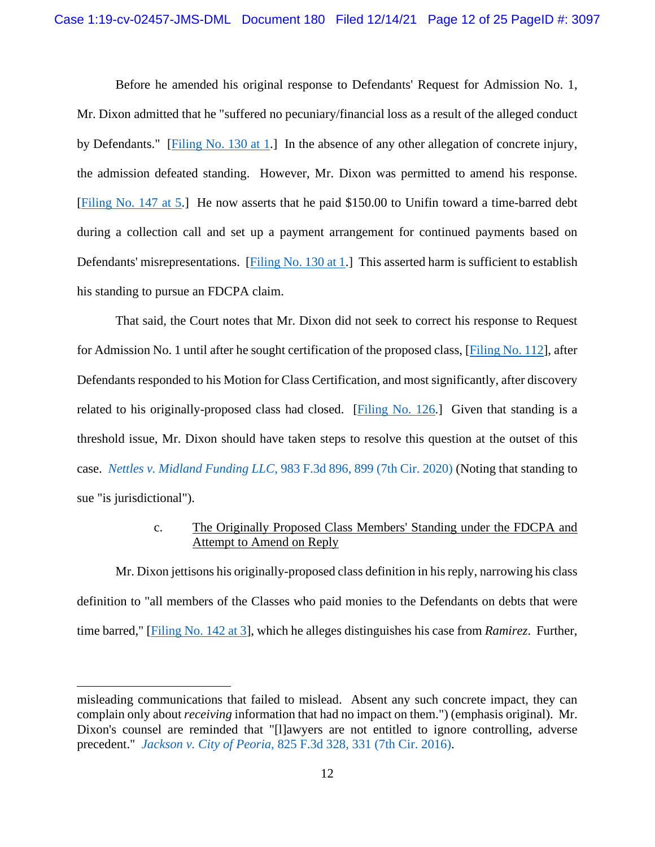Before he amended his original response to Defendants' Request for Admission No. 1, Mr. Dixon admitted that he "suffered no pecuniary/financial loss as a result of the alleged conduct by Defendants." [\[Filing No. 130 at 1.](https://ecf.insd.uscourts.gov/doc1/07318780704?page=1)] In the absence of any other allegation of concrete injury, the admission defeated standing. However, Mr. Dixon was permitted to amend his response. [\[Filing No. 147 at 5.](https://ecf.insd.uscourts.gov/doc1/07318820478?page=5)] He now asserts that he paid \$150.00 to Unifin toward a time-barred debt during a collection call and set up a payment arrangement for continued payments based on Defendants' misrepresentations. [\[Filing No. 130 at 1.](https://ecf.insd.uscourts.gov/doc1/07318780704?page=1)] This asserted harm is sufficient to establish his standing to pursue an FDCPA claim.

That said, the Court notes that Mr. Dixon did not seek to correct his response to Request for Admission No. 1 until after he sought certification of the proposed class, [\[Filing No. 112\]](https://ecf.insd.uscourts.gov/doc1/07318706680), after Defendants responded to his Motion for Class Certification, and most significantly, after discovery related to his originally-proposed class had closed. [\[Filing No. 126.](https://ecf.insd.uscourts.gov/doc1/07318769929)] Given that standing is a threshold issue, Mr. Dixon should have taken steps to resolve this question at the outset of this case. *Nettles v. Midland Funding LLC*[, 983 F.3d 896, 899 \(7th Cir. 2020\)](https://www.westlaw.com/Document/I565da46043f811eba075d817282e94c2/View/FullText.html?transitionType=Default&contextData=(sc.Default)&VR=3.0&RS=da3.0&fragmentIdentifier=co_pp_sp_506_899) (Noting that standing to sue "is jurisdictional").

# c. The Originally Proposed Class Members' Standing under the FDCPA and Attempt to Amend on Reply

Mr. Dixon jettisons his originally-proposed class definition in his reply, narrowing his class definition to "all members of the Classes who paid monies to the Defendants on debts that were time barred," [\[Filing No. 142 at 3\]](https://ecf.insd.uscourts.gov/doc1/07318806521?page=3), which he alleges distinguishes his case from *Ramirez*. Further,

misleading communications that failed to mislead. Absent any such concrete impact, they can complain only about *receiving* information that had no impact on them.") (emphasis original). Mr. Dixon's counsel are reminded that "[l]awyers are not entitled to ignore controlling, adverse precedent." *Jackson v. City of Peoria*[, 825 F.3d 328, 331 \(7th Cir. 2016\).](https://www.westlaw.com/Document/I62b6c2002a3011e687dda03c2315206d/View/FullText.html?transitionType=Default&contextData=(sc.Default)&VR=3.0&RS=da3.0&fragmentIdentifier=co_pp_sp_506_331)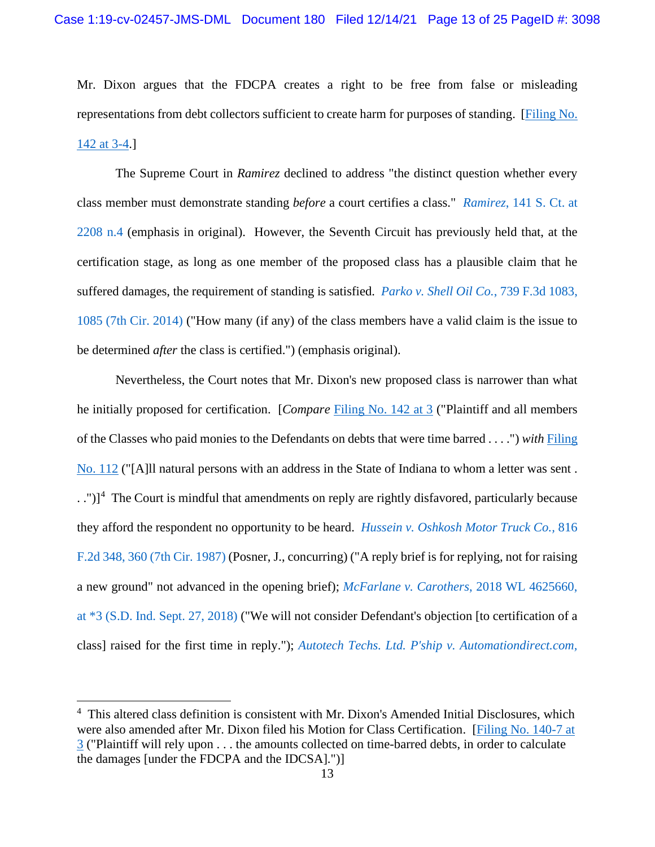Mr. Dixon argues that the FDCPA creates a right to be free from false or misleading representations from debt collectors sufficient to create harm for purposes of standing. [\[Filing No.](https://ecf.insd.uscourts.gov/doc1/07318806521?page=3)  [142 at 3-4.](https://ecf.insd.uscourts.gov/doc1/07318806521?page=3)]

The Supreme Court in *Ramirez* declined to address "the distinct question whether every class member must demonstrate standing *before* a court certifies a class." *Ramirez*[, 141 S. Ct. at](https://www.westlaw.com/Document/I8f17c3c7d55411eb850ac132f535d1eb/View/FullText.html?transitionType=Default&contextData=(sc.Default)&VR=3.0&RS=da3.0&fragmentIdentifier=co_pp_sp_708_2208)  [2208 n.4](https://www.westlaw.com/Document/I8f17c3c7d55411eb850ac132f535d1eb/View/FullText.html?transitionType=Default&contextData=(sc.Default)&VR=3.0&RS=da3.0&fragmentIdentifier=co_pp_sp_708_2208) (emphasis in original). However, the Seventh Circuit has previously held that, at the certification stage, as long as one member of the proposed class has a plausible claim that he suffered damages, the requirement of standing is satisfied. *[Parko v. Shell Oil Co.](https://www.westlaw.com/Document/Ic39836f37fce11e3a341ea44e5e1f25f/View/FullText.html?transitionType=Default&contextData=(sc.Default)&VR=3.0&RS=da3.0&fragmentIdentifier=co_pp_sp_506_1085)*, 739 F.3d 1083, [1085 \(7th Cir. 2014\)](https://www.westlaw.com/Document/Ic39836f37fce11e3a341ea44e5e1f25f/View/FullText.html?transitionType=Default&contextData=(sc.Default)&VR=3.0&RS=da3.0&fragmentIdentifier=co_pp_sp_506_1085) ("How many (if any) of the class members have a valid claim is the issue to be determined *after* the class is certified.") (emphasis original).

Nevertheless, the Court notes that Mr. Dixon's new proposed class is narrower than what he initially proposed for certification. [*Compare* [Filing No. 142 at 3](https://ecf.insd.uscourts.gov/doc1/07318806521?page=3) ("Plaintiff and all members of the Classes who paid monies to the Defendants on debts that were time barred . . . .") *with* [Filing](https://ecf.insd.uscourts.gov/doc1/07318706680)  [No. 112](https://ecf.insd.uscourts.gov/doc1/07318706680) ("[A]ll natural persons with an address in the State of Indiana to whom a letter was sent . . .")]<sup>[4](#page-12-0)</sup> The Court is mindful that amendments on reply are rightly disfavored, particularly because they afford the respondent no opportunity to be heard. *[Hussein v. Oshkosh Motor Truck Co.,](https://www.westlaw.com/Document/I78ddba4b951111d993e6d35cc61aab4a/View/FullText.html?transitionType=Default&contextData=(sc.Default)&VR=3.0&RS=da3.0&fragmentIdentifier=co_pp_sp_350_360)* 816 [F.2d 348, 360 \(7th Cir. 1987\)](https://www.westlaw.com/Document/I78ddba4b951111d993e6d35cc61aab4a/View/FullText.html?transitionType=Default&contextData=(sc.Default)&VR=3.0&RS=da3.0&fragmentIdentifier=co_pp_sp_350_360) (Posner, J., concurring) ("A reply brief is for replying, not for raising a new ground" not advanced in the opening brief); *[McFarlane v. Carothers](https://www.westlaw.com/Document/I1ceaeda0c2a911e89a72e3efe6364bb2/View/FullText.html?transitionType=Default&contextData=(sc.Default)&VR=3.0&RS=da3.0&fragmentIdentifier=co_pp_sp_999_3)*, 2018 WL 4625660, [at \\*3 \(S.D. Ind. Sept. 27, 2018\)](https://www.westlaw.com/Document/I1ceaeda0c2a911e89a72e3efe6364bb2/View/FullText.html?transitionType=Default&contextData=(sc.Default)&VR=3.0&RS=da3.0&fragmentIdentifier=co_pp_sp_999_3) ("We will not consider Defendant's objection [to certification of a class] raised for the first time in reply."); *[Autotech Techs. Ltd. P'ship v. Automationdirect.com,](https://www.westlaw.com/Document/I2b859bd2d17b11daa514dfb5bc366636/View/FullText.html?transitionType=Default&contextData=(sc.Default)&VR=3.0&RS=da3.0&fragmentIdentifier=co_pp_sp_344_437)* 

<span id="page-12-0"></span><sup>&</sup>lt;sup>4</sup> This altered class definition is consistent with Mr. Dixon's Amended Initial Disclosures, which were also amended after Mr. Dixon filed his Motion for Class Certification. [\[Filing No. 140-7 at](https://insd-ecf.sso.dcn/doc1/07318806515)  [3](https://insd-ecf.sso.dcn/doc1/07318806515) ("Plaintiff will rely upon . . . the amounts collected on time-barred debts, in order to calculate the damages [under the FDCPA and the IDCSA].")]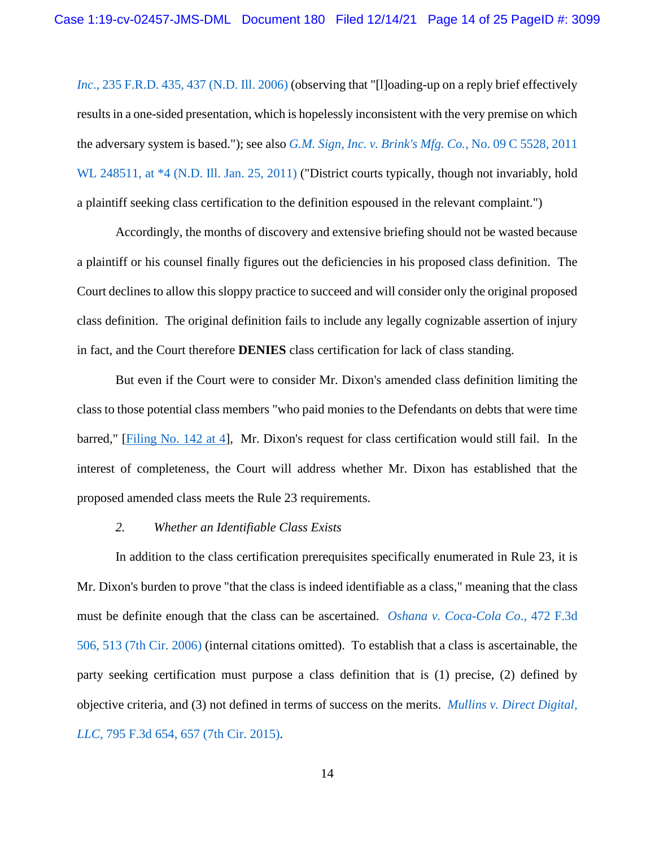*Inc.*, 235 F.R.D. 435, 437 (N.D. Ill. 2006) (observing that "[I]oading-up on a reply brief effectively results in a one-sided presentation, which is hopelessly inconsistent with the very premise on which the adversary system is based."); see also *[G.M. Sign, Inc. v. Brink's Mfg. Co.,](https://www.westlaw.com/Document/I56ad77162ab911e09d9dae30585baa87/View/FullText.html?transitionType=Default&contextData=(sc.Default)&VR=3.0&RS=da3.0&fragmentIdentifier=co_pp_sp_999_4)* No. 09 C 5528, 2011 WL 248511, at  $*4$  (N.D. Ill. Jan. 25, 2011) ("District courts typically, though not invariably, hold a plaintiff seeking class certification to the definition espoused in the relevant complaint.")

Accordingly, the months of discovery and extensive briefing should not be wasted because a plaintiff or his counsel finally figures out the deficiencies in his proposed class definition. The Court declines to allow this sloppy practice to succeed and will consider only the original proposed class definition. The original definition fails to include any legally cognizable assertion of injury in fact, and the Court therefore **DENIES** class certification for lack of class standing.

But even if the Court were to consider Mr. Dixon's amended class definition limiting the class to those potential class members "who paid monies to the Defendants on debts that were time barred," [\[Filing No. 142 at 4\]](https://ecf.insd.uscourts.gov/doc1/07318806521?page=4), Mr. Dixon's request for class certification would still fail. In the interest of completeness, the Court will address whether Mr. Dixon has established that the proposed amended class meets the Rule 23 requirements.

### *2. Whether an Identifiable Class Exists*

In addition to the class certification prerequisites specifically enumerated in Rule 23, it is Mr. Dixon's burden to prove "that the class is indeed identifiable as a class," meaning that the class must be definite enough that the class can be ascertained. *[Oshana v. Coca-Cola Co](https://www.westlaw.com/Document/Ie00df707972411db9127cf4cfcf88547/View/FullText.html?transitionType=Default&contextData=(sc.Default)&VR=3.0&RS=da3.0&fragmentIdentifier=co_pp_sp_506_513)*., 472 F.3d [506, 513 \(7th Cir. 2006\)](https://www.westlaw.com/Document/Ie00df707972411db9127cf4cfcf88547/View/FullText.html?transitionType=Default&contextData=(sc.Default)&VR=3.0&RS=da3.0&fragmentIdentifier=co_pp_sp_506_513) (internal citations omitted). To establish that a class is ascertainable, the party seeking certification must purpose a class definition that is (1) precise, (2) defined by objective criteria, and (3) not defined in terms of success on the merits. *[Mullins v. Direct Digital,](https://www.westlaw.com/Document/Ic3da6d97361611e5b4bafa136b480ad2/View/FullText.html?transitionType=Default&contextData=(sc.Default)&VR=3.0&RS=da3.0&fragmentIdentifier=co_pp_sp_506_657)  LLC*[, 795 F.3d 654, 657 \(7th Cir. 2015\).](https://www.westlaw.com/Document/Ic3da6d97361611e5b4bafa136b480ad2/View/FullText.html?transitionType=Default&contextData=(sc.Default)&VR=3.0&RS=da3.0&fragmentIdentifier=co_pp_sp_506_657)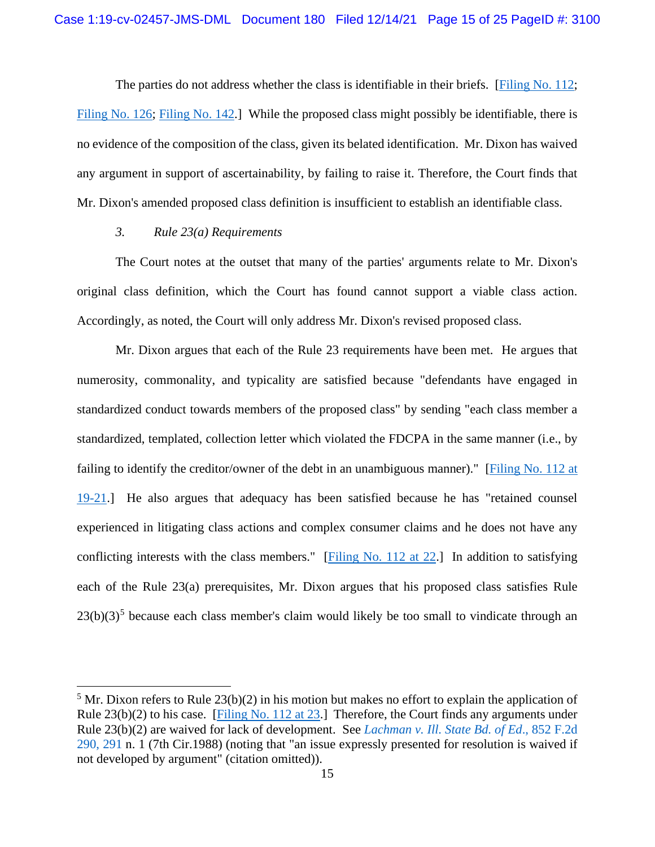The parties do not address whether the class is identifiable in their briefs. [\[Filing No. 112;](https://ecf.insd.uscourts.gov/doc1/07318706680) [Filing No. 126;](https://ecf.insd.uscourts.gov/doc1/07318769929) [Filing No. 142.](https://ecf.insd.uscourts.gov/doc1/07318806521)] While the proposed class might possibly be identifiable, there is no evidence of the composition of the class, given its belated identification. Mr. Dixon has waived any argument in support of ascertainability, by failing to raise it. Therefore, the Court finds that Mr. Dixon's amended proposed class definition is insufficient to establish an identifiable class.

## *3. Rule 23(a) Requirements*

The Court notes at the outset that many of the parties' arguments relate to Mr. Dixon's original class definition, which the Court has found cannot support a viable class action. Accordingly, as noted, the Court will only address Mr. Dixon's revised proposed class.

Mr. Dixon argues that each of the Rule 23 requirements have been met. He argues that numerosity, commonality, and typicality are satisfied because "defendants have engaged in standardized conduct towards members of the proposed class" by sending "each class member a standardized, templated, collection letter which violated the FDCPA in the same manner (i.e., by failing to identify the creditor/owner of the debt in an unambiguous manner)." [\[Filing No. 112 at](https://ecf.insd.uscourts.gov/doc1/07318706680?page=19)  [19-21.](https://ecf.insd.uscourts.gov/doc1/07318706680?page=19)] He also argues that adequacy has been satisfied because he has "retained counsel experienced in litigating class actions and complex consumer claims and he does not have any conflicting interests with the class members." [\[Filing No. 112 at 22.](https://ecf.insd.uscourts.gov/doc1/07318706680?page=22)] In addition to satisfying each of the Rule 23(a) prerequisites, Mr. Dixon argues that his proposed class satisfies Rule  $23(b)(3)^5$  $23(b)(3)^5$  because each class member's claim would likely be too small to vindicate through an

<span id="page-14-0"></span> $<sup>5</sup>$  Mr. Dixon refers to Rule 23(b)(2) in his motion but makes no effort to explain the application of</sup> Rule 23(b)(2) to his case. [\[Filing No. 112 at 23.](https://ecf.insd.uscourts.gov/doc1/07318706680?page=23)] Therefore, the Court finds any arguments under Rule 23(b)(2) are waived for lack of development. See *[Lachman v. Ill. State Bd. of Ed](https://www.westlaw.com/Document/I6c260a6a958d11d9bdd1cfdd544ca3a4/View/FullText.html?transitionType=Default&contextData=(sc.Default)&VR=3.0&RS=da3.0&fragmentIdentifier=co_pp_sp_350_291)*., 852 F.2d [290, 291](https://www.westlaw.com/Document/I6c260a6a958d11d9bdd1cfdd544ca3a4/View/FullText.html?transitionType=Default&contextData=(sc.Default)&VR=3.0&RS=da3.0&fragmentIdentifier=co_pp_sp_350_291) n. 1 (7th Cir.1988) (noting that "an issue expressly presented for resolution is waived if not developed by argument" (citation omitted)).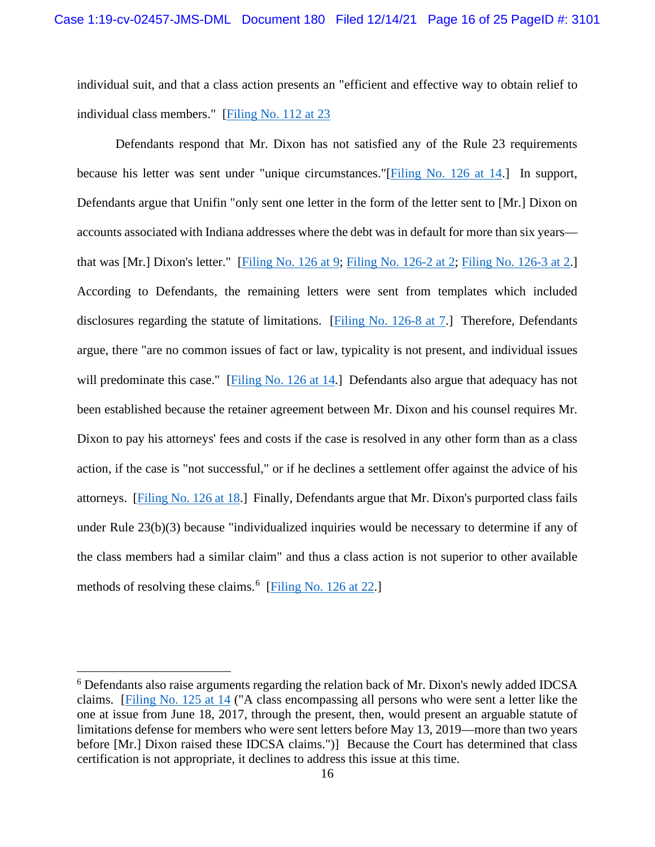individual suit, and that a class action presents an "efficient and effective way to obtain relief to individual class members." [\[Filing No. 112 at 23](https://ecf.insd.uscourts.gov/doc1/07318706680?page=23)

Defendants respond that Mr. Dixon has not satisfied any of the Rule 23 requirements because his letter was sent under "unique circumstances."[\[Filing No. 126 at 14.](https://ecf.insd.uscourts.gov/doc1/07318769929?page=14)] In support, Defendants argue that Unifin "only sent one letter in the form of the letter sent to [Mr.] Dixon on accounts associated with Indiana addresses where the debt was in default for more than six years that was [Mr.] Dixon's letter." [\[Filing No. 126 at 9;](https://ecf.insd.uscourts.gov/doc1/07318769929?page=9) [Filing No. 126-2 at 2;](https://ecf.insd.uscourts.gov/doc1/07318769931?page=2) [Filing No. 126-3 at 2.](https://ecf.insd.uscourts.gov/doc1/07318769932?page=2)] According to Defendants, the remaining letters were sent from templates which included disclosures regarding the statute of limitations. [\[Filing No. 126-8 at 7.](https://ecf.insd.uscourts.gov/doc1/07318769937?page=7)] Therefore, Defendants argue, there "are no common issues of fact or law, typicality is not present, and individual issues will predominate this case." [\[Filing No. 126 at 14.](https://ecf.insd.uscourts.gov/doc1/07318769929?page=14)] Defendants also argue that adequacy has not been established because the retainer agreement between Mr. Dixon and his counsel requires Mr. Dixon to pay his attorneys' fees and costs if the case is resolved in any other form than as a class action, if the case is "not successful," or if he declines a settlement offer against the advice of his attorneys. [\[Filing No. 126 at 18.](https://ecf.insd.uscourts.gov/doc1/07318769929?page=18)] Finally, Defendants argue that Mr. Dixon's purported class fails under Rule 23(b)(3) because "individualized inquiries would be necessary to determine if any of the class members had a similar claim" and thus a class action is not superior to other available methods of resolving these claims.<sup>[6](#page-15-0)</sup> [\[Filing No. 126 at 22.](https://ecf.insd.uscourts.gov/doc1/07318769929?page=22)]

<span id="page-15-0"></span><sup>6</sup> Defendants also raise arguments regarding the relation back of Mr. Dixon's newly added IDCSA claims. [\[Filing No. 125 at 14](https://ecf.insd.uscourts.gov/doc1/07318767129?page=14) ("A class encompassing all persons who were sent a letter like the one at issue from June 18, 2017, through the present, then, would present an arguable statute of limitations defense for members who were sent letters before May 13, 2019—more than two years before [Mr.] Dixon raised these IDCSA claims.")] Because the Court has determined that class certification is not appropriate, it declines to address this issue at this time.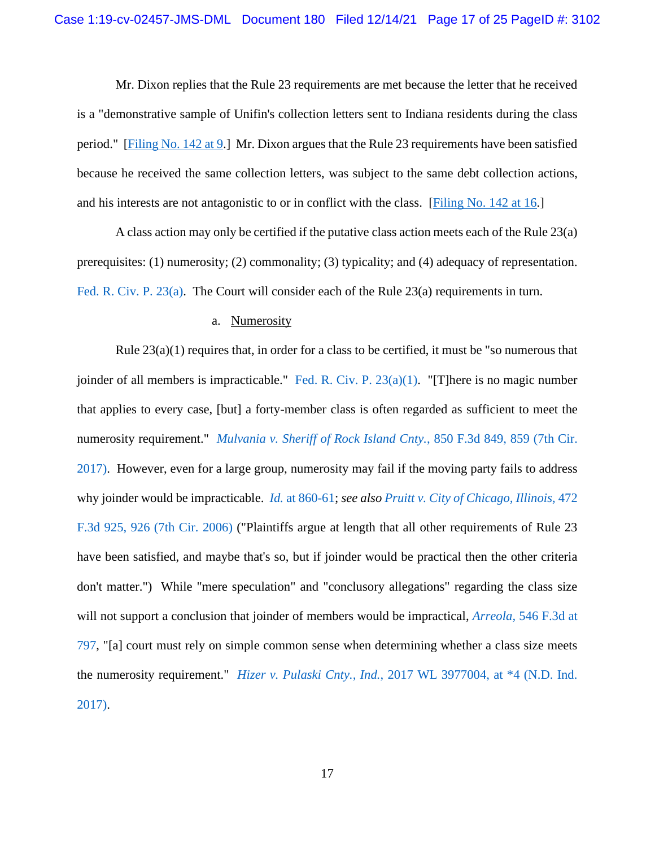Mr. Dixon replies that the Rule 23 requirements are met because the letter that he received is a "demonstrative sample of Unifin's collection letters sent to Indiana residents during the class period." [\[Filing No. 142 at 9.](https://ecf.insd.uscourts.gov/doc1/07318806521?page=9)] Mr. Dixon argues that the Rule 23 requirements have been satisfied because he received the same collection letters, was subject to the same debt collection actions, and his interests are not antagonistic to or in conflict with the class. [\[Filing No. 142 at 16.](https://ecf.insd.uscourts.gov/doc1/07318806521?page=16)]

A class action may only be certified if the putative class action meets each of the Rule 23(a) prerequisites: (1) numerosity; (2) commonality; (3) typicality; and (4) adequacy of representation. [Fed. R. Civ. P. 23\(a\).](https://www.westlaw.com/Document/NC687F790B96311D8983DF34406B5929B/View/FullText.html?transitionType=Default&contextData=(sc.Default)&VR=3.0&RS=da3.0) The Court will consider each of the Rule 23(a) requirements in turn.

### a. Numerosity

Rule  $23(a)(1)$  requires that, in order for a class to be certified, it must be "so numerous that joinder of all members is impracticable." [Fed. R. Civ. P. 23\(a\)\(1\).](https://www.westlaw.com/Document/NC687F790B96311D8983DF34406B5929B/View/FullText.html?transitionType=Default&contextData=(sc.Default)&VR=3.0&RS=da3.0) "[T]here is no magic number that applies to every case, [but] a forty-member class is often regarded as sufficient to meet the numerosity requirement." *[Mulvania v. Sheriff of Rock Island Cnty.](https://www.westlaw.com/Document/I83f84c8005a511e7b28da5a53aeba485/View/FullText.html?transitionType=Default&contextData=(sc.Default)&VR=3.0&RS=da3.0&fragmentIdentifier=co_pp_sp_506_859)*, 850 F.3d 849, 859 (7th Cir. [2017\).](https://www.westlaw.com/Document/I83f84c8005a511e7b28da5a53aeba485/View/FullText.html?transitionType=Default&contextData=(sc.Default)&VR=3.0&RS=da3.0&fragmentIdentifier=co_pp_sp_506_859) However, even for a large group, numerosity may fail if the moving party fails to address why joinder would be impracticable. *Id.* [at 860-61;](https://www.westlaw.com/Document/I83f84c8005a511e7b28da5a53aeba485/View/FullText.html?transitionType=Default&contextData=(sc.Default)&VR=3.0&RS=da3.0&fragmentIdentifier=co_pp_sp_506_860) *see also [Pruitt v. City of Chicago, Illinois,](https://www.westlaw.com/Document/I3e94ac19965c11db9127cf4cfcf88547/View/FullText.html?transitionType=Default&contextData=(sc.Default)&VR=3.0&RS=da3.0&fragmentIdentifier=co_pp_sp_506_926)* 472 [F.3d 925, 926 \(7th Cir. 2006\)](https://www.westlaw.com/Document/I3e94ac19965c11db9127cf4cfcf88547/View/FullText.html?transitionType=Default&contextData=(sc.Default)&VR=3.0&RS=da3.0&fragmentIdentifier=co_pp_sp_506_926) ("Plaintiffs argue at length that all other requirements of Rule 23 have been satisfied, and maybe that's so, but if joinder would be practical then the other criteria don't matter.") While "mere speculation" and "conclusory allegations" regarding the class size will not support a conclusion that joinder of members would be impractical, *Arreola,* [546 F.3d at](https://www.westlaw.com/Document/If81c5e9399fc11dd9876f446780b7bdc/View/FullText.html?transitionType=Default&contextData=(sc.Default)&VR=3.0&RS=da3.0&fragmentIdentifier=co_pp_sp_506_797)  [797,](https://www.westlaw.com/Document/If81c5e9399fc11dd9876f446780b7bdc/View/FullText.html?transitionType=Default&contextData=(sc.Default)&VR=3.0&RS=da3.0&fragmentIdentifier=co_pp_sp_506_797) "[a] court must rely on simple common sense when determining whether a class size meets the numerosity requirement." *Hizer v. Pulaski Cnty., Ind.*, [2017 WL 3977004, at \\*4 \(N.D. Ind.](https://www.westlaw.com/Document/I0d226190975911e7abd4d53a4dbd6890/View/FullText.html?transitionType=Default&contextData=(sc.Default)&VR=3.0&RS=da3.0&fragmentIdentifier=co_pp_sp_999_4)  [2017\).](https://www.westlaw.com/Document/I0d226190975911e7abd4d53a4dbd6890/View/FullText.html?transitionType=Default&contextData=(sc.Default)&VR=3.0&RS=da3.0&fragmentIdentifier=co_pp_sp_999_4)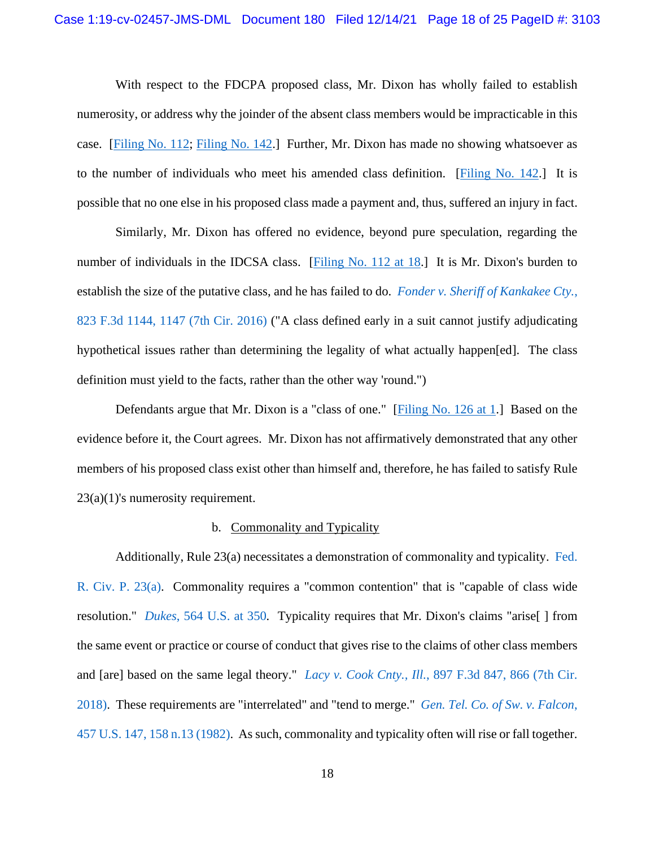With respect to the FDCPA proposed class, Mr. Dixon has wholly failed to establish numerosity, or address why the joinder of the absent class members would be impracticable in this case. [\[Filing No. 112;](https://ecf.insd.uscourts.gov/doc1/07318706680) [Filing No. 142.](https://ecf.insd.uscourts.gov/doc1/07318806521)] Further, Mr. Dixon has made no showing whatsoever as to the number of individuals who meet his amended class definition. [\[Filing No. 142.](https://ecf.insd.uscourts.gov/doc1/07318806521)] It is possible that no one else in his proposed class made a payment and, thus, suffered an injury in fact.

Similarly, Mr. Dixon has offered no evidence, beyond pure speculation, regarding the number of individuals in the IDCSA class. [\[Filing No. 112 at 18.](https://ecf.insd.uscourts.gov/doc1/07318706680?page=18)] It is Mr. Dixon's burden to establish the size of the putative class, and he has failed to do. *[Fonder v. Sheriff of Kankakee Cty.](https://www.westlaw.com/Document/I5f38251023fa11e687dda03c2315206d/View/FullText.html?transitionType=Default&contextData=(sc.Default)&VR=3.0&RS=da3.0&fragmentIdentifier=co_pp_sp_506_1147)*, [823 F.3d 1144, 1147 \(7th Cir. 2016\)](https://www.westlaw.com/Document/I5f38251023fa11e687dda03c2315206d/View/FullText.html?transitionType=Default&contextData=(sc.Default)&VR=3.0&RS=da3.0&fragmentIdentifier=co_pp_sp_506_1147) ("A class defined early in a suit cannot justify adjudicating hypothetical issues rather than determining the legality of what actually happen[ed]. The class definition must yield to the facts, rather than the other way 'round.")

Defendants argue that Mr. Dixon is a "class of one." [\[Filing No. 126 at 1.](https://ecf.insd.uscourts.gov/doc1/07318769929?page=1)] Based on the evidence before it, the Court agrees. Mr. Dixon has not affirmatively demonstrated that any other members of his proposed class exist other than himself and, therefore, he has failed to satisfy Rule 23(a)(1)'s numerosity requirement.

### b. Commonality and Typicality

Additionally, Rule 23(a) necessitates a demonstration of commonality and typicality. [Fed.](https://www.westlaw.com/Document/NC687F790B96311D8983DF34406B5929B/View/FullText.html?transitionType=Default&contextData=(sc.Default)&VR=3.0&RS=da3.0)  [R. Civ. P. 23\(a\).](https://www.westlaw.com/Document/NC687F790B96311D8983DF34406B5929B/View/FullText.html?transitionType=Default&contextData=(sc.Default)&VR=3.0&RS=da3.0) Commonality requires a "common contention" that is "capable of class wide resolution." *Dukes*[, 564 U.S. at 350](https://www.westlaw.com/Document/I9e8a5192996011e0a8a2938374af9660/View/FullText.html?transitionType=Default&contextData=(sc.Default)&VR=3.0&RS=da3.0&fragmentIdentifier=co_pp_sp_780_350)*.* Typicality requires that Mr. Dixon's claims "arise[ ] from the same event or practice or course of conduct that gives rise to the claims of other class members and [are] based on the same legal theory." *Lacy v. Cook Cnty., Ill.*[, 897 F.3d 847, 866 \(7th Cir.](https://www.westlaw.com/Document/I30f969a0947011e8809390da5fe55bec/View/FullText.html?transitionType=Default&contextData=(sc.Default)&VR=3.0&RS=da3.0&fragmentIdentifier=co_pp_sp_506_866)  [2018\).](https://www.westlaw.com/Document/I30f969a0947011e8809390da5fe55bec/View/FullText.html?transitionType=Default&contextData=(sc.Default)&VR=3.0&RS=da3.0&fragmentIdentifier=co_pp_sp_506_866) These requirements are "interrelated" and "tend to merge." *[Gen. Tel. Co. of Sw. v. Falcon](https://www.westlaw.com/Document/Ic1db31b19c1e11d991d0cc6b54f12d4d/View/FullText.html?transitionType=Default&contextData=(sc.Default)&VR=3.0&RS=da3.0&fragmentIdentifier=co_pp_sp_780_158+n.13)*, [457 U.S. 147, 158 n.13 \(1982\).](https://www.westlaw.com/Document/Ic1db31b19c1e11d991d0cc6b54f12d4d/View/FullText.html?transitionType=Default&contextData=(sc.Default)&VR=3.0&RS=da3.0&fragmentIdentifier=co_pp_sp_780_158+n.13) As such, commonality and typicality often will rise or fall together.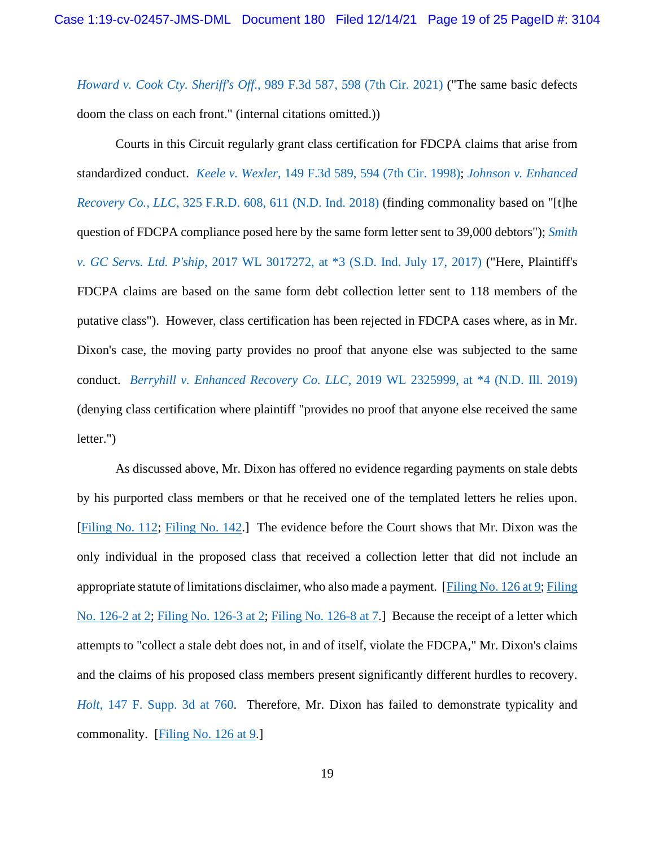*Howard v. Cook Cty. Sheriff's Off*[., 989 F.3d 587, 598 \(7th Cir. 2021\)](https://www.westlaw.com/Document/I293c0c407d5711eb8c75eb3bff74da20/View/FullText.html?transitionType=Default&contextData=(sc.Default)&VR=3.0&RS=da3.0&fragmentIdentifier=co_pp_sp_506_598) ("The same basic defects doom the class on each front." (internal citations omitted.))

Courts in this Circuit regularly grant class certification for FDCPA claims that arise from standardized conduct. *Keele v. Wexler*[, 149 F.3d 589, 594 \(7th Cir. 1998\);](https://www.westlaw.com/Document/Ib8321bd6944b11d9bc61beebb95be672/View/FullText.html?transitionType=Default&contextData=(sc.Default)&VR=3.0&RS=da3.0&fragmentIdentifier=co_pp_sp_506_594) *[Johnson v. Enhanced](https://www.westlaw.com/Document/Ic9d798804f3911e8ab5389d3771bc525/View/FullText.html?transitionType=Default&contextData=(sc.Default)&VR=3.0&RS=da3.0&fragmentIdentifier=co_pp_sp_344_611)  Recovery Co., LLC*[, 325 F.R.D. 608, 611 \(N.D. Ind. 2018\)](https://www.westlaw.com/Document/Ic9d798804f3911e8ab5389d3771bc525/View/FullText.html?transitionType=Default&contextData=(sc.Default)&VR=3.0&RS=da3.0&fragmentIdentifier=co_pp_sp_344_611) (finding commonality based on "[t]he question of FDCPA compliance posed here by the same form letter sent to 39,000 debtors"); *[Smith](https://www.westlaw.com/Document/I743c6b906b7211e7a3f3a229dca6c9c6/View/FullText.html?transitionType=Default&contextData=(sc.Default)&VR=3.0&RS=da3.0&fragmentIdentifier=co_pp_sp_999_3)  v. GC Servs. Ltd. P'ship*[, 2017 WL 3017272, at \\*3 \(S.D. Ind. July 17, 2017\)](https://www.westlaw.com/Document/I743c6b906b7211e7a3f3a229dca6c9c6/View/FullText.html?transitionType=Default&contextData=(sc.Default)&VR=3.0&RS=da3.0&fragmentIdentifier=co_pp_sp_999_3) ("Here, Plaintiff's FDCPA claims are based on the same form debt collection letter sent to 118 members of the putative class"). However, class certification has been rejected in FDCPA cases where, as in Mr. Dixon's case, the moving party provides no proof that anyone else was subjected to the same conduct. *Berryhill v. Enhanced Recovery Co. LLC*[, 2019 WL 2325999, at \\*4 \(N.D. Ill. 2019\)](https://www.westlaw.com/Document/Idc23cda085cb11e981b9f3f7c11376fd/View/FullText.html?transitionType=Default&contextData=(sc.Default)&VR=3.0&RS=da3.0&fragmentIdentifier=co_pp_sp_999_4) (denying class certification where plaintiff "provides no proof that anyone else received the same letter.")

As discussed above, Mr. Dixon has offered no evidence regarding payments on stale debts by his purported class members or that he received one of the templated letters he relies upon. [\[Filing No. 112;](https://ecf.insd.uscourts.gov/doc1/07318706680) [Filing No. 142.](https://ecf.insd.uscourts.gov/doc1/07318806521)] The evidence before the Court shows that Mr. Dixon was the only individual in the proposed class that received a collection letter that did not include an appropriate statute of limitations disclaimer, who also made a payment. [\[Filing No. 126 at 9;](https://ecf.insd.uscourts.gov/doc1/07318769929?page=9) [Filing](https://ecf.insd.uscourts.gov/doc1/07318769931?page=2)  [No. 126-2 at 2;](https://ecf.insd.uscourts.gov/doc1/07318769931?page=2) [Filing No. 126-3 at 2;](https://ecf.insd.uscourts.gov/doc1/07318769932?page=2) [Filing No. 126-8 at 7.](https://ecf.insd.uscourts.gov/doc1/07318769937?page=7)] Because the receipt of a letter which attempts to "collect a stale debt does not, in and of itself, violate the FDCPA," Mr. Dixon's claims and the claims of his proposed class members present significantly different hurdles to recovery. *Holt*[, 147 F. Supp. 3d at 760.](https://www.westlaw.com/Document/I6bb33ec0982111e59a139b8f80c70067/View/FullText.html?transitionType=Default&contextData=(sc.Default)&VR=3.0&RS=da3.0&fragmentIdentifier=co_pp_sp_7903_760) Therefore, Mr. Dixon has failed to demonstrate typicality and commonality. [\[Filing No. 126 at 9.](https://ecf.insd.uscourts.gov/doc1/07318769929?page=9)]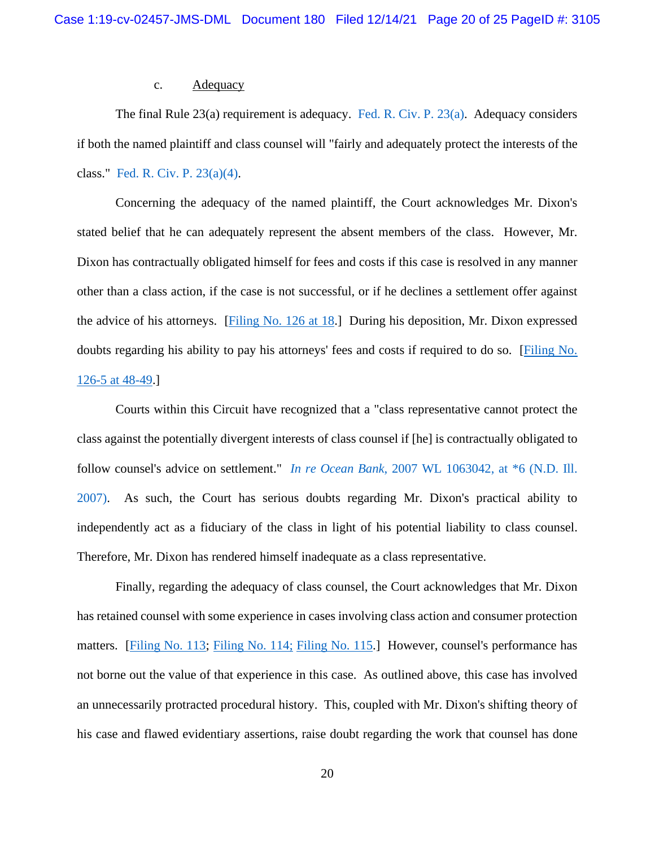### c. Adequacy

The final Rule 23(a) requirement is adequacy. [Fed. R. Civ. P. 23\(a\).](https://www.westlaw.com/Document/NC687F790B96311D8983DF34406B5929B/View/FullText.html?transitionType=Default&contextData=(sc.Default)&VR=3.0&RS=da3.0) Adequacy considers if both the named plaintiff and class counsel will "fairly and adequately protect the interests of the class." [Fed. R. Civ. P. 23\(a\)\(4\).](https://www.westlaw.com/Document/NC687F790B96311D8983DF34406B5929B/View/FullText.html?transitionType=Default&contextData=(sc.Default)&VR=3.0&RS=da3.0)

Concerning the adequacy of the named plaintiff, the Court acknowledges Mr. Dixon's stated belief that he can adequately represent the absent members of the class. However, Mr. Dixon has contractually obligated himself for fees and costs if this case is resolved in any manner other than a class action, if the case is not successful, or if he declines a settlement offer against the advice of his attorneys. [\[Filing No. 126 at 18.](https://insd-ecf.sso.dcn/doc1/07318769929)] During his deposition, Mr. Dixon expressed doubts regarding his ability to pay his attorneys' fees and costs if required to do so. [\[Filing No.](https://insd-ecf.sso.dcn/doc1/07318769934)  [126-5 at 48-49.](https://insd-ecf.sso.dcn/doc1/07318769934)]

Courts within this Circuit have recognized that a "class representative cannot protect the class against the potentially divergent interests of class counsel if [he] is contractually obligated to follow counsel's advice on settlement." *In re Ocean Bank*[, 2007 WL 1063042, at \\*6 \(N.D. Ill.](https://www.westlaw.com/Document/I8a9f4a1be83411dbafc6849dc347959a/View/FullText.html?transitionType=Default&contextData=(sc.Default)&VR=3.0&RS=da3.0&fragmentIdentifier=co_pp_sp_999_6)  [2007\).](https://www.westlaw.com/Document/I8a9f4a1be83411dbafc6849dc347959a/View/FullText.html?transitionType=Default&contextData=(sc.Default)&VR=3.0&RS=da3.0&fragmentIdentifier=co_pp_sp_999_6) As such, the Court has serious doubts regarding Mr. Dixon's practical ability to independently act as a fiduciary of the class in light of his potential liability to class counsel. Therefore, Mr. Dixon has rendered himself inadequate as a class representative.

Finally, regarding the adequacy of class counsel, the Court acknowledges that Mr. Dixon has retained counsel with some experience in cases involving class action and consumer protection matters. [\[Filing No. 113;](https://insd-ecf.sso.dcn/doc1/07318706691) [Filing No. 114;](https://insd-ecf.sso.dcn/doc1/07318706694) [Filing No. 115.](https://insd-ecf.sso.dcn/doc1/07318706697)] However, counsel's performance has not borne out the value of that experience in this case. As outlined above, this case has involved an unnecessarily protracted procedural history. This, coupled with Mr. Dixon's shifting theory of his case and flawed evidentiary assertions, raise doubt regarding the work that counsel has done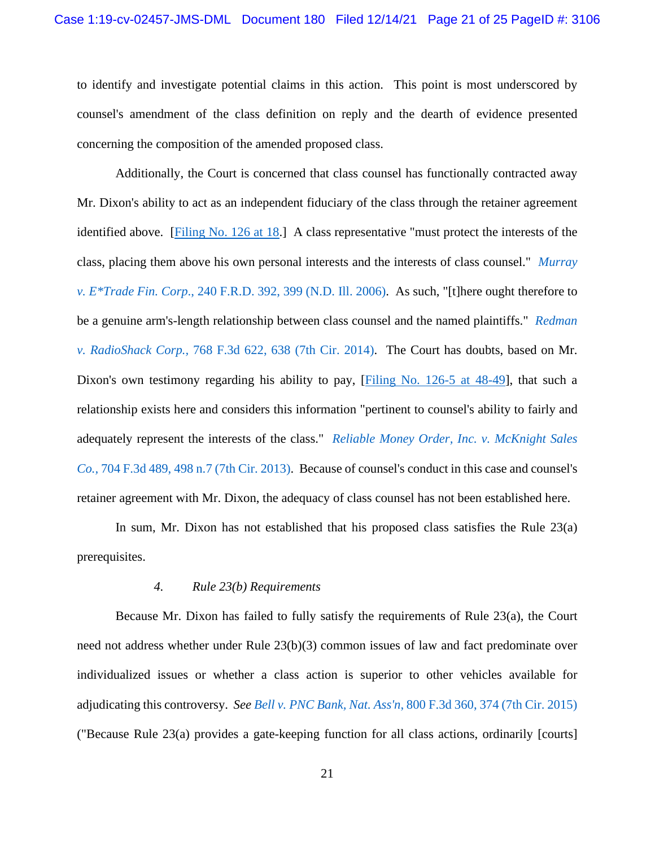to identify and investigate potential claims in this action. This point is most underscored by counsel's amendment of the class definition on reply and the dearth of evidence presented concerning the composition of the amended proposed class.

Additionally, the Court is concerned that class counsel has functionally contracted away Mr. Dixon's ability to act as an independent fiduciary of the class through the retainer agreement identified above. [\[Filing No. 126 at 18.](https://insd-ecf.sso.dcn/doc1/07318769929)] A class representative "must protect the interests of the class, placing them above his own personal interests and the interests of class counsel." *[Murray](https://www.westlaw.com/Document/I903e23d97a7711dbb38df5bc58c34d92/View/FullText.html?transitionType=Default&contextData=(sc.Default)&VR=3.0&RS=da3.0&fragmentIdentifier=co_pp_sp_344_399)  v. E\*Trade Fin. Corp*[., 240 F.R.D. 392, 399 \(N.D. Ill. 2006\).](https://www.westlaw.com/Document/I903e23d97a7711dbb38df5bc58c34d92/View/FullText.html?transitionType=Default&contextData=(sc.Default)&VR=3.0&RS=da3.0&fragmentIdentifier=co_pp_sp_344_399) As such, "[t]here ought therefore to be a genuine arm's-length relationship between class counsel and the named plaintiffs." *[Redman](https://www.westlaw.com/Document/Ib99dfb57409511e4a795ac035416da91/View/FullText.html?transitionType=Default&contextData=(sc.Default)&VR=3.0&RS=da3.0&fragmentIdentifier=co_pp_sp_506_638)  v. RadioShack Corp.,* [768 F.3d 622, 638 \(7th Cir. 2014\).](https://www.westlaw.com/Document/Ib99dfb57409511e4a795ac035416da91/View/FullText.html?transitionType=Default&contextData=(sc.Default)&VR=3.0&RS=da3.0&fragmentIdentifier=co_pp_sp_506_638) The Court has doubts, based on Mr. Dixon's own testimony regarding his ability to pay, [\[Filing No. 126-5 at 48-49\]](https://insd-ecf.sso.dcn/doc1/07318769934), that such a relationship exists here and considers this information "pertinent to counsel's ability to fairly and adequately represent the interests of the class." *[Reliable Money Order, Inc. v. McKnight Sales](https://www.westlaw.com/Document/I2ea4c3435a8b11e287a9c52cdddac4f7/View/FullText.html?transitionType=Default&contextData=(sc.Default)&VR=3.0&RS=da3.0&fragmentIdentifier=co_pp_sp_506_498+n.7)  Co.,* [704 F.3d 489, 498 n.7 \(7th Cir. 2013\).](https://www.westlaw.com/Document/I2ea4c3435a8b11e287a9c52cdddac4f7/View/FullText.html?transitionType=Default&contextData=(sc.Default)&VR=3.0&RS=da3.0&fragmentIdentifier=co_pp_sp_506_498+n.7) Because of counsel's conduct in this case and counsel's retainer agreement with Mr. Dixon, the adequacy of class counsel has not been established here.

In sum, Mr. Dixon has not established that his proposed class satisfies the Rule 23(a) prerequisites.

### *4. Rule 23(b) Requirements*

Because Mr. Dixon has failed to fully satisfy the requirements of Rule 23(a), the Court need not address whether under Rule 23(b)(3) common issues of law and fact predominate over individualized issues or whether a class action is superior to other vehicles available for adjudicating this controversy. *See Bell v. PNC Bank, Nat. Ass'n*[, 800 F.3d 360, 374 \(7th Cir. 2015\)](https://www.westlaw.com/Document/I838632d9504a11e5b86bd602cb8781fa/View/FullText.html?transitionType=Default&contextData=(sc.Default)&VR=3.0&RS=da3.0&fragmentIdentifier=co_pp_sp_506_374) ("Because Rule 23(a) provides a gate-keeping function for all class actions, ordinarily [courts]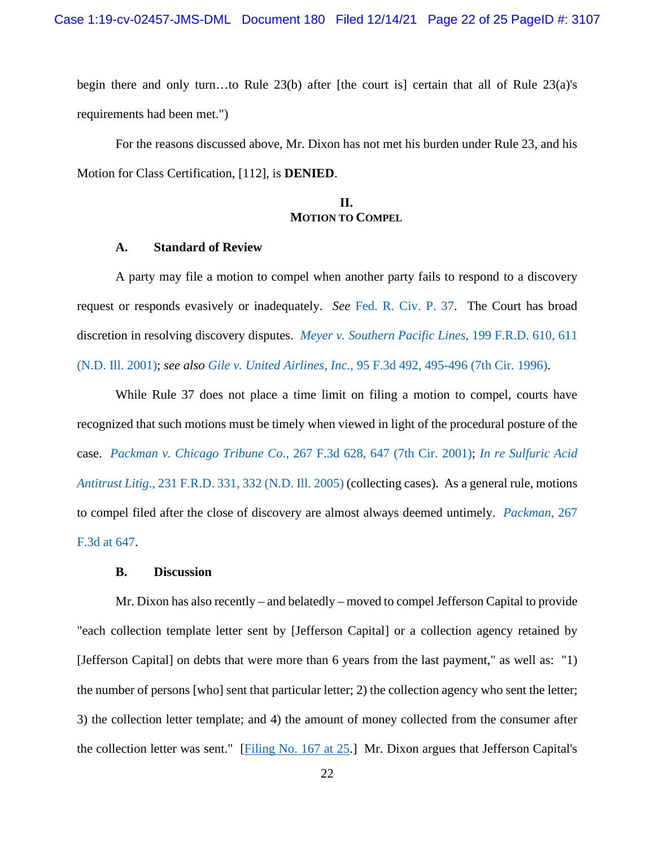begin there and only turn…to Rule 23(b) after [the court is] certain that all of Rule 23(a)'s requirements had been met.")

For the reasons discussed above, Mr. Dixon has not met his burden under Rule 23, and his Motion for Class Certification, [112], is **DENIED**.

# **II. MOTION TO COMPEL**

## **A. Standard of Review**

A party may file a motion to compel when another party fails to respond to a discovery request or responds evasively or inadequately. *See* [Fed. R. Civ. P. 37.](https://www.westlaw.com/Document/NA31111F0B96511D8983DF34406B5929B/View/FullText.html?transitionType=Default&contextData=(sc.Default)&VR=3.0&RS=da3.0) The Court has broad discretion in resolving discovery disputes. *[Meyer v. Southern Pacific Lines](https://www.westlaw.com/Document/Ibde341a853df11d9b17ee4cdc604a702/View/FullText.html?transitionType=Default&contextData=(sc.Default)&VR=3.0&RS=da3.0&fragmentIdentifier=co_pp_sp_344_611)*, 199 F.R.D. 610, 611 [\(N.D. Ill. 2001\);](https://www.westlaw.com/Document/Ibde341a853df11d9b17ee4cdc604a702/View/FullText.html?transitionType=Default&contextData=(sc.Default)&VR=3.0&RS=da3.0&fragmentIdentifier=co_pp_sp_344_611) *see also Gile v. United Airlines, Inc.,* [95 F.3d 492, 495-496 \(7th Cir. 1996\).](https://www.westlaw.com/Document/I43546b29934611d993e6d35cc61aab4a/View/FullText.html?transitionType=Default&contextData=(sc.Default)&VR=3.0&RS=da3.0&fragmentIdentifier=co_pp_sp_506_495)

While Rule 37 does not place a time limit on filing a motion to compel, courts have recognized that such motions must be timely when viewed in light of the procedural posture of the case. *Packman v. Chicago Tribune Co*[., 267 F.3d 628, 647 \(7th Cir. 2001\);](https://www.westlaw.com/Document/Ice0bdacc79c211d9bf29e2067ad74e5b/View/FullText.html?transitionType=Default&contextData=(sc.Default)&VR=3.0&RS=da3.0&fragmentIdentifier=co_pp_sp_506_647) *[In re Sulfuric Acid](https://www.westlaw.com/Document/I035047ba1fdc11da974abd26ac2a6030/View/FullText.html?transitionType=Default&contextData=(sc.Default)&VR=3.0&RS=da3.0&fragmentIdentifier=co_pp_sp_344_332)  Antitrust Litig*[., 231 F.R.D. 331, 332 \(N.D. Ill. 2005\)](https://www.westlaw.com/Document/I035047ba1fdc11da974abd26ac2a6030/View/FullText.html?transitionType=Default&contextData=(sc.Default)&VR=3.0&RS=da3.0&fragmentIdentifier=co_pp_sp_344_332) (collecting cases). As a general rule, motions to compel filed after the close of discovery are almost always deemed untimely. *[Packman](https://www.westlaw.com/Document/Ice0bdacc79c211d9bf29e2067ad74e5b/View/FullText.html?transitionType=Default&contextData=(sc.Default)&VR=3.0&RS=da3.0&fragmentIdentifier=co_pp_sp_506_647)*, 267 [F.3d at 647.](https://www.westlaw.com/Document/Ice0bdacc79c211d9bf29e2067ad74e5b/View/FullText.html?transitionType=Default&contextData=(sc.Default)&VR=3.0&RS=da3.0&fragmentIdentifier=co_pp_sp_506_647)

### **B. Discussion**

Mr. Dixon has also recently – and belatedly – moved to compel Jefferson Capital to provide "each collection template letter sent by [Jefferson Capital] or a collection agency retained by [Jefferson Capital] on debts that were more than 6 years from the last payment," as well as: "1) the number of persons [who] sent that particular letter; 2) the collection agency who sent the letter; 3) the collection letter template; and 4) the amount of money collected from the consumer after the collection letter was sent." [\[Filing No. 167 at 25.](https://ecf.insd.uscourts.gov/doc1/07318953419?page=25)] Mr. Dixon argues that Jefferson Capital's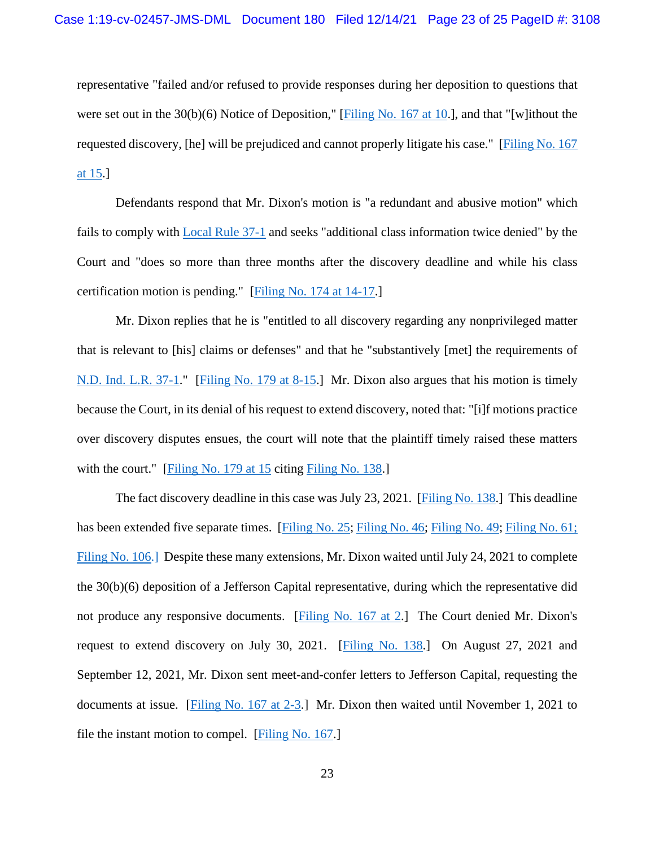representative "failed and/or refused to provide responses during her deposition to questions that were set out in the 30(b)(6) Notice of Deposition," [\[Filing No. 167 at 10.](https://ecf.insd.uscourts.gov/doc1/07318953419?page=10)], and that "[w]ithout the requested discovery, [he] will be prejudiced and cannot properly litigate his case." [\[Filing No. 167](https://ecf.insd.uscourts.gov/doc1/07318953419?page=15)  [at 15.](https://ecf.insd.uscourts.gov/doc1/07318953419?page=15)]

Defendants respond that Mr. Dixon's motion is "a redundant and abusive motion" which fails to comply with [Local Rule 37-1](https://www.insd.uscourts.gov/sites/insd/files/local_rules/Local%20Rule%2037-1%20%E2%80%93%20Discovery%20Disputes.pdf) and seeks "additional class information twice denied" by the Court and "does so more than three months after the discovery deadline and while his class certification motion is pending." [\[Filing No. 174 at 14-17.](https://ecf.insd.uscourts.gov/doc1/07318997393?page=14)]

Mr. Dixon replies that he is "entitled to all discovery regarding any nonprivileged matter that is relevant to [his] claims or defenses" and that he "substantively [met] the requirements of [N.D. Ind. L.R. 37-1.](https://www.innd.uscourts.gov/sites/innd/files/CurrentLocalRules.pdf)" [\[Filing No. 179 at 8-15.](https://ecf.insd.uscourts.gov/doc1/07319024254?page=8)] Mr. Dixon also argues that his motion is timely because the Court, in its denial of his request to extend discovery, noted that: "[i]f motions practice over discovery disputes ensues, the court will note that the plaintiff timely raised these matters with the court." [\[Filing No. 179 at 15](https://ecf.insd.uscourts.gov/doc1/07319024254?page=15) citing [Filing No. 138.](https://ecf.insd.uscourts.gov/doc1/07318792841)]

The fact discovery deadline in this case was July 23, 2021. [\[Filing No. 138.](https://ecf.insd.uscourts.gov/doc1/07318792841)] This deadline has been extended five separate times. [\[Filing No. 25;](https://ecf.insd.uscourts.gov/doc1/07317499745) [Filing No. 46;](https://ecf.insd.uscourts.gov/doc1/07317883009) [Filing No. 49;](https://ecf.insd.uscourts.gov/doc1/07317951819) [Filing No. 61;](https://ecf.insd.uscourts.gov/doc1/07317988430) [Filing No. 106.](https://ecf.insd.uscourts.gov/doc1/07318559478)] Despite these many extensions, Mr. Dixon waited until July 24, 2021 to complete the 30(b)(6) deposition of a Jefferson Capital representative, during which the representative did not produce any responsive documents. [\[Filing No. 167 at 2.](https://ecf.insd.uscourts.gov/doc1/07318953419?page=2)] The Court denied Mr. Dixon's request to extend discovery on July 30, 2021. [\[Filing No. 138.](https://ecf.insd.uscourts.gov/doc1/07318792841)] On August 27, 2021 and September 12, 2021, Mr. Dixon sent meet-and-confer letters to Jefferson Capital, requesting the documents at issue. [\[Filing No. 167 at 2-3.](https://ecf.insd.uscourts.gov/doc1/07318953419?page=2)] Mr. Dixon then waited until November 1, 2021 to file the instant motion to compel. [\[Filing No. 167.](https://ecf.insd.uscourts.gov/doc1/07318953419)]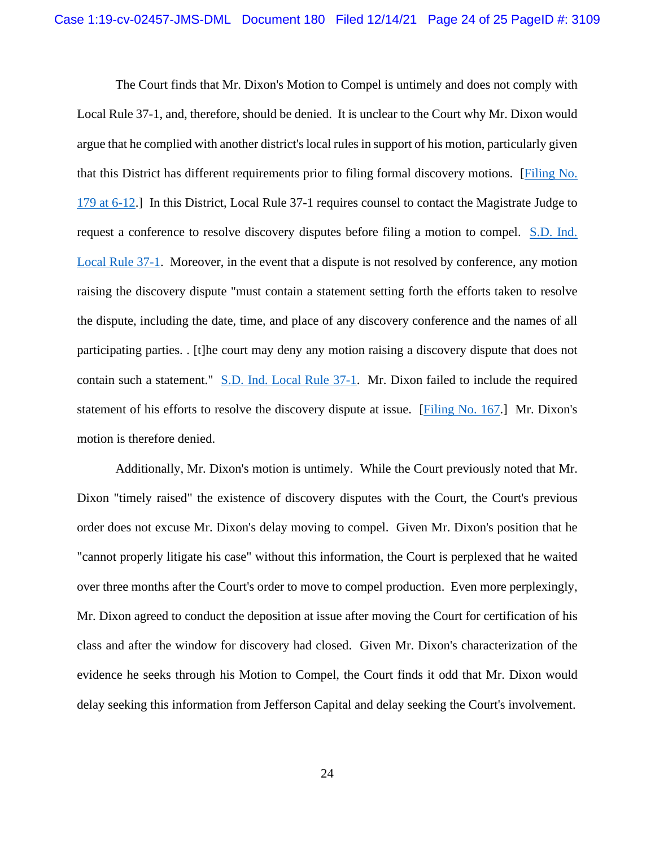The Court finds that Mr. Dixon's Motion to Compel is untimely and does not comply with Local Rule 37-1, and, therefore, should be denied. It is unclear to the Court why Mr. Dixon would argue that he complied with another district's local rules in support of his motion, particularly given that this District has different requirements prior to filing formal discovery motions. [\[Filing No.](https://ecf.insd.uscourts.gov/doc1/07319024254?page=15)  [179 at 6-12.](https://ecf.insd.uscourts.gov/doc1/07319024254?page=15)] In this District, Local Rule 37-1 requires counsel to contact the Magistrate Judge to request a conference to resolve discovery disputes before filing a motion to compel. [S.D. Ind.](https://www.insd.uscourts.gov/sites/insd/files/local_rules/Local%20Rule%2037-1%20%E2%80%93%20Discovery%20Disputes.pdf)  [Local Rule 37-1.](https://www.insd.uscourts.gov/sites/insd/files/local_rules/Local%20Rule%2037-1%20%E2%80%93%20Discovery%20Disputes.pdf) Moreover, in the event that a dispute is not resolved by conference, any motion raising the discovery dispute "must contain a statement setting forth the efforts taken to resolve the dispute, including the date, time, and place of any discovery conference and the names of all participating parties. . [t]he court may deny any motion raising a discovery dispute that does not contain such a statement." [S.D. Ind. Local Rule 37-1.](https://www.insd.uscourts.gov/sites/insd/files/local_rules/Local%20Rule%2037-1%20%E2%80%93%20Discovery%20Disputes.pdf) Mr. Dixon failed to include the required statement of his efforts to resolve the discovery dispute at issue. [\[Filing No. 167.](https://ecf.insd.uscourts.gov/doc1/07318953419?page=25)] Mr. Dixon's motion is therefore denied.

Additionally, Mr. Dixon's motion is untimely. While the Court previously noted that Mr. Dixon "timely raised" the existence of discovery disputes with the Court, the Court's previous order does not excuse Mr. Dixon's delay moving to compel. Given Mr. Dixon's position that he "cannot properly litigate his case" without this information, the Court is perplexed that he waited over three months after the Court's order to move to compel production. Even more perplexingly, Mr. Dixon agreed to conduct the deposition at issue after moving the Court for certification of his class and after the window for discovery had closed. Given Mr. Dixon's characterization of the evidence he seeks through his Motion to Compel, the Court finds it odd that Mr. Dixon would delay seeking this information from Jefferson Capital and delay seeking the Court's involvement.